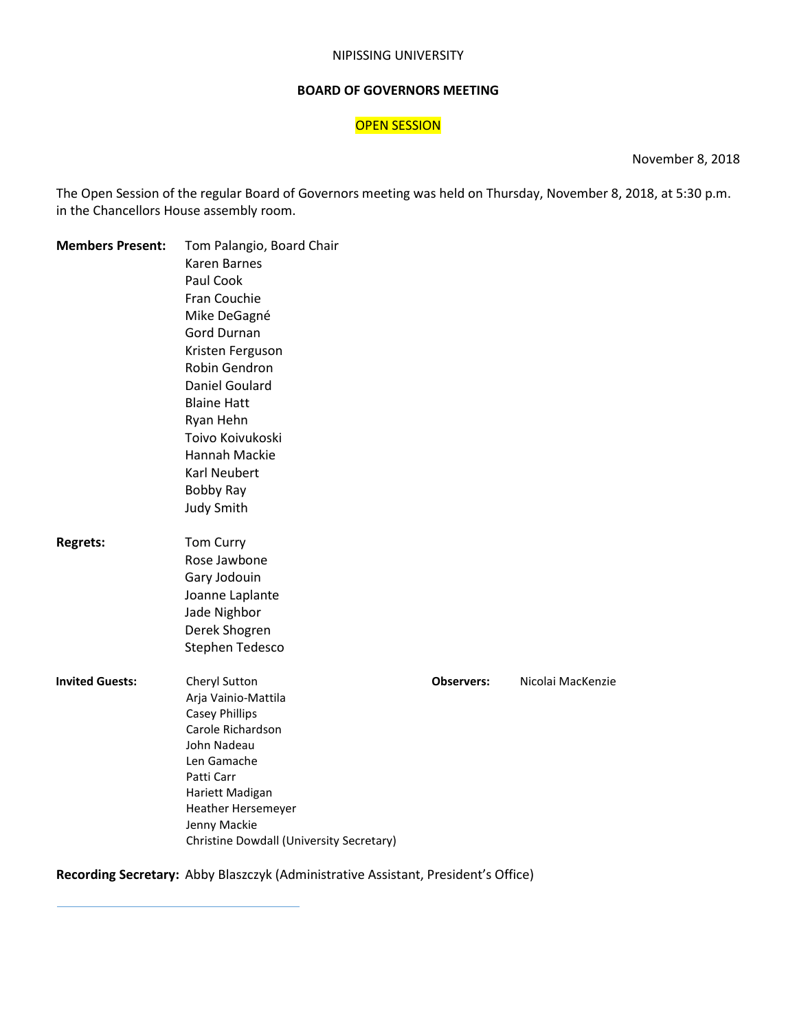#### NIPISSING UNIVERSITY

#### **BOARD OF GOVERNORS MEETING**

## **OPEN SESSION**

November 8, 2018

The Open Session of the regular Board of Governors meeting was held on Thursday, November 8, 2018, at 5:30 p.m. in the Chancellors House assembly room.

| <b>Members Present:</b> | Tom Palangio, Board Chair                |                   |                   |  |
|-------------------------|------------------------------------------|-------------------|-------------------|--|
|                         | Karen Barnes                             |                   |                   |  |
|                         | Paul Cook                                |                   |                   |  |
|                         | Fran Couchie                             |                   |                   |  |
|                         | Mike DeGagné                             |                   |                   |  |
|                         | <b>Gord Durnan</b>                       |                   |                   |  |
|                         | Kristen Ferguson                         |                   |                   |  |
|                         | Robin Gendron                            |                   |                   |  |
|                         | <b>Daniel Goulard</b>                    |                   |                   |  |
|                         | <b>Blaine Hatt</b>                       |                   |                   |  |
|                         | Ryan Hehn                                |                   |                   |  |
|                         | Toivo Koivukoski                         |                   |                   |  |
|                         | Hannah Mackie                            |                   |                   |  |
|                         | Karl Neubert                             |                   |                   |  |
|                         |                                          |                   |                   |  |
|                         | <b>Bobby Ray</b>                         |                   |                   |  |
|                         | <b>Judy Smith</b>                        |                   |                   |  |
| <b>Regrets:</b>         | Tom Curry                                |                   |                   |  |
|                         | Rose Jawbone                             |                   |                   |  |
|                         | Gary Jodouin                             |                   |                   |  |
|                         | Joanne Laplante                          |                   |                   |  |
|                         | Jade Nighbor                             |                   |                   |  |
|                         | Derek Shogren                            |                   |                   |  |
|                         | Stephen Tedesco                          |                   |                   |  |
| <b>Invited Guests:</b>  | Cheryl Sutton                            | <b>Observers:</b> | Nicolai MacKenzie |  |
|                         | Arja Vainio-Mattila                      |                   |                   |  |
|                         | <b>Casey Phillips</b>                    |                   |                   |  |
|                         | Carole Richardson                        |                   |                   |  |
|                         | John Nadeau                              |                   |                   |  |
|                         | Len Gamache                              |                   |                   |  |
|                         | Patti Carr                               |                   |                   |  |
|                         | Hariett Madigan                          |                   |                   |  |
|                         | Heather Hersemeyer                       |                   |                   |  |
|                         | Jenny Mackie                             |                   |                   |  |
|                         | Christine Dowdall (University Secretary) |                   |                   |  |

## **Recording Secretary:** Abby Blaszczyk (Administrative Assistant, President's Office)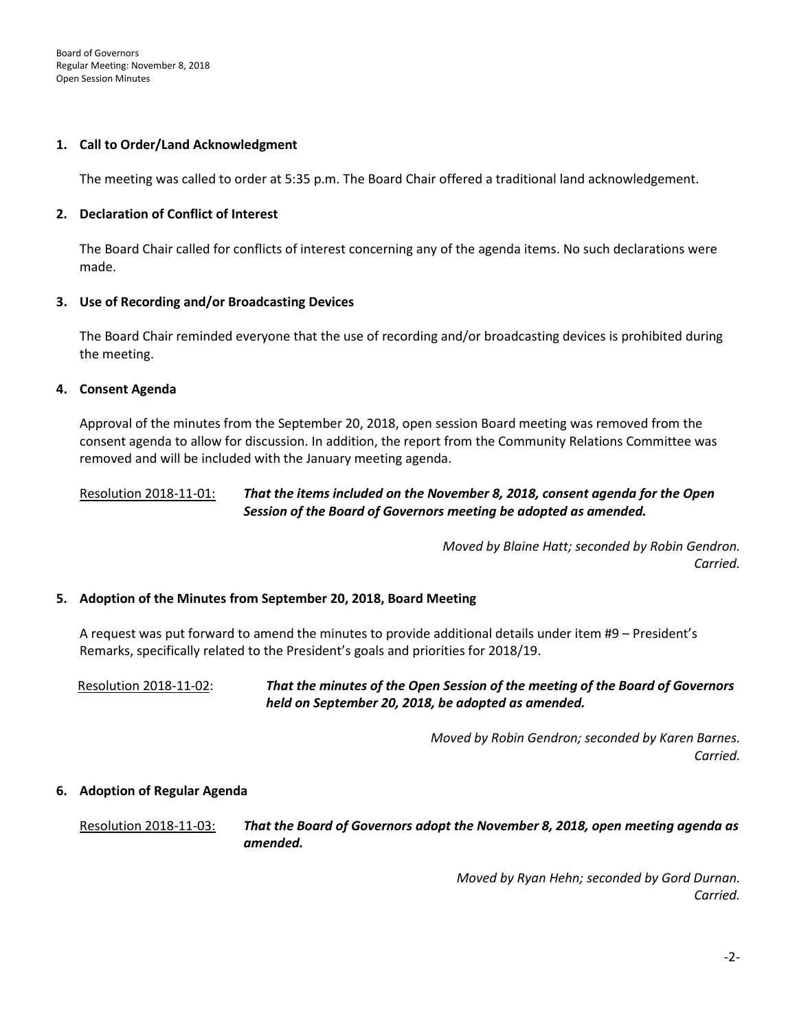#### **1. Call to Order/Land Acknowledgment**

The meeting was called to order at 5:35 p.m. The Board Chair offered a traditional land acknowledgement.

### **2. Declaration of Conflict of Interest**

The Board Chair called for conflicts of interest concerning any of the agenda items. No such declarations were made.

#### **3. Use of Recording and/or Broadcasting Devices**

The Board Chair reminded everyone that the use of recording and/or broadcasting devices is prohibited during the meeting.

#### **4. Consent Agenda**

Approval of the minutes from the September 20, 2018, open session Board meeting was removed from the consent agenda to allow for discussion. In addition, the report from the Community Relations Committee was removed and will be included with the January meeting agenda.

## Resolution 2018-11-01: *That the items included on the November 8, 2018, consent agenda for the Open Session of the Board of Governors meeting be adopted as amended.*

*Moved by Blaine Hatt; seconded by Robin Gendron. Carried.* 

#### **5. Adoption of the Minutes from September 20, 2018, Board Meeting**

A request was put forward to amend the minutes to provide additional details under item #9 – President's Remarks, specifically related to the President's goals and priorities for 2018/19.

 Resolution 2018-11-02: *That the minutes of the Open Session of the meeting of the Board of Governors held on September 20, 2018, be adopted as amended.*

> *Moved by Robin Gendron; seconded by Karen Barnes. Carried.*

#### **6. Adoption of Regular Agenda**

Resolution 2018-11-03: *That the Board of Governors adopt the November 8, 2018, open meeting agenda as amended.* 

> *Moved by Ryan Hehn; seconded by Gord Durnan. Carried.*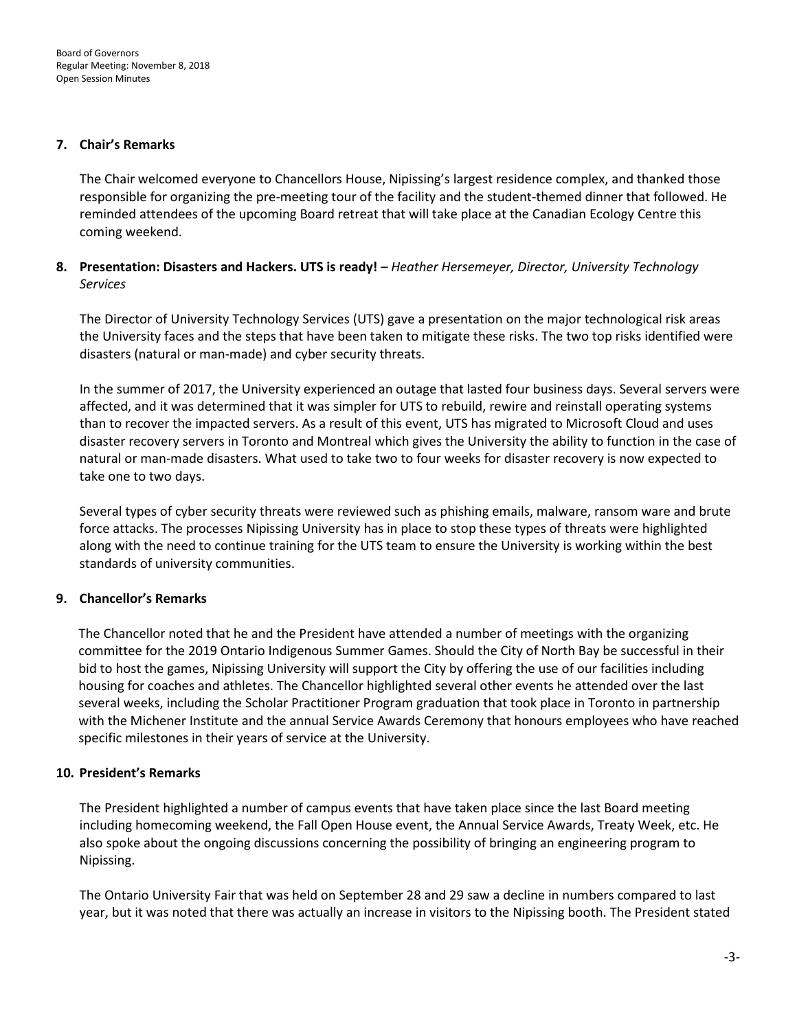#### **7. Chair's Remarks**

The Chair welcomed everyone to Chancellors House, Nipissing's largest residence complex, and thanked those responsible for organizing the pre-meeting tour of the facility and the student-themed dinner that followed. He reminded attendees of the upcoming Board retreat that will take place at the Canadian Ecology Centre this coming weekend.

## **8. Presentation: Disasters and Hackers. UTS is ready!** *– Heather Hersemeyer, Director, University Technology Services*

The Director of University Technology Services (UTS) gave a presentation on the major technological risk areas the University faces and the steps that have been taken to mitigate these risks. The two top risks identified were disasters (natural or man-made) and cyber security threats.

In the summer of 2017, the University experienced an outage that lasted four business days. Several servers were affected, and it was determined that it was simpler for UTS to rebuild, rewire and reinstall operating systems than to recover the impacted servers. As a result of this event, UTS has migrated to Microsoft Cloud and uses disaster recovery servers in Toronto and Montreal which gives the University the ability to function in the case of natural or man-made disasters. What used to take two to four weeks for disaster recovery is now expected to take one to two days.

Several types of cyber security threats were reviewed such as phishing emails, malware, ransom ware and brute force attacks. The processes Nipissing University has in place to stop these types of threats were highlighted along with the need to continue training for the UTS team to ensure the University is working within the best standards of university communities.

## **9. Chancellor's Remarks**

The Chancellor noted that he and the President have attended a number of meetings with the organizing committee for the 2019 Ontario Indigenous Summer Games. Should the City of North Bay be successful in their bid to host the games, Nipissing University will support the City by offering the use of our facilities including housing for coaches and athletes. The Chancellor highlighted several other events he attended over the last several weeks, including the Scholar Practitioner Program graduation that took place in Toronto in partnership with the Michener Institute and the annual Service Awards Ceremony that honours employees who have reached specific milestones in their years of service at the University.

## **10. President's Remarks**

The President highlighted a number of campus events that have taken place since the last Board meeting including homecoming weekend, the Fall Open House event, the Annual Service Awards, Treaty Week, etc. He also spoke about the ongoing discussions concerning the possibility of bringing an engineering program to Nipissing.

The Ontario University Fair that was held on September 28 and 29 saw a decline in numbers compared to last year, but it was noted that there was actually an increase in visitors to the Nipissing booth. The President stated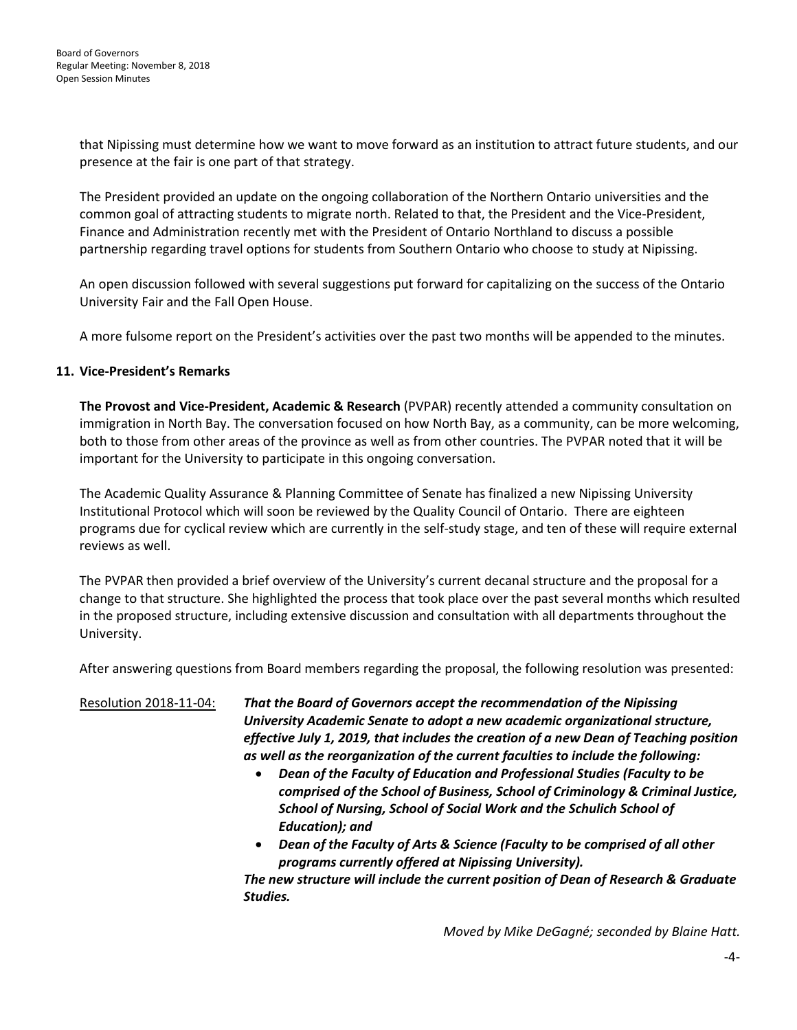that Nipissing must determine how we want to move forward as an institution to attract future students, and our presence at the fair is one part of that strategy.

The President provided an update on the ongoing collaboration of the Northern Ontario universities and the common goal of attracting students to migrate north. Related to that, the President and the Vice-President, Finance and Administration recently met with the President of Ontario Northland to discuss a possible partnership regarding travel options for students from Southern Ontario who choose to study at Nipissing.

An open discussion followed with several suggestions put forward for capitalizing on the success of the Ontario University Fair and the Fall Open House.

A more fulsome report on the President's activities over the past two months will be appended to the minutes.

## **11. Vice-President's Remarks**

**The Provost and Vice-President, Academic & Research** (PVPAR) recently attended a community consultation on immigration in North Bay. The conversation focused on how North Bay, as a community, can be more welcoming, both to those from other areas of the province as well as from other countries. The PVPAR noted that it will be important for the University to participate in this ongoing conversation.

The Academic Quality Assurance & Planning Committee of Senate has finalized a new Nipissing University Institutional Protocol which will soon be reviewed by the Quality Council of Ontario. There are eighteen programs due for cyclical review which are currently in the self-study stage, and ten of these will require external reviews as well.

The PVPAR then provided a brief overview of the University's current decanal structure and the proposal for a change to that structure. She highlighted the process that took place over the past several months which resulted in the proposed structure, including extensive discussion and consultation with all departments throughout the University.

After answering questions from Board members regarding the proposal, the following resolution was presented:

Resolution 2018-11-04: *That the Board of Governors accept the recommendation of the Nipissing University Academic Senate to adopt a new academic organizational structure, effective July 1, 2019, that includes the creation of a new Dean of Teaching position as well as the reorganization of the current faculties to include the following:*

- *Dean of the Faculty of Education and Professional Studies (Faculty to be comprised of the School of Business, School of Criminology & Criminal Justice, School of Nursing, School of Social Work and the Schulich School of Education); and*
- *Dean of the Faculty of Arts & Science (Faculty to be comprised of all other programs currently offered at Nipissing University).*

*The new structure will include the current position of Dean of Research & Graduate Studies.*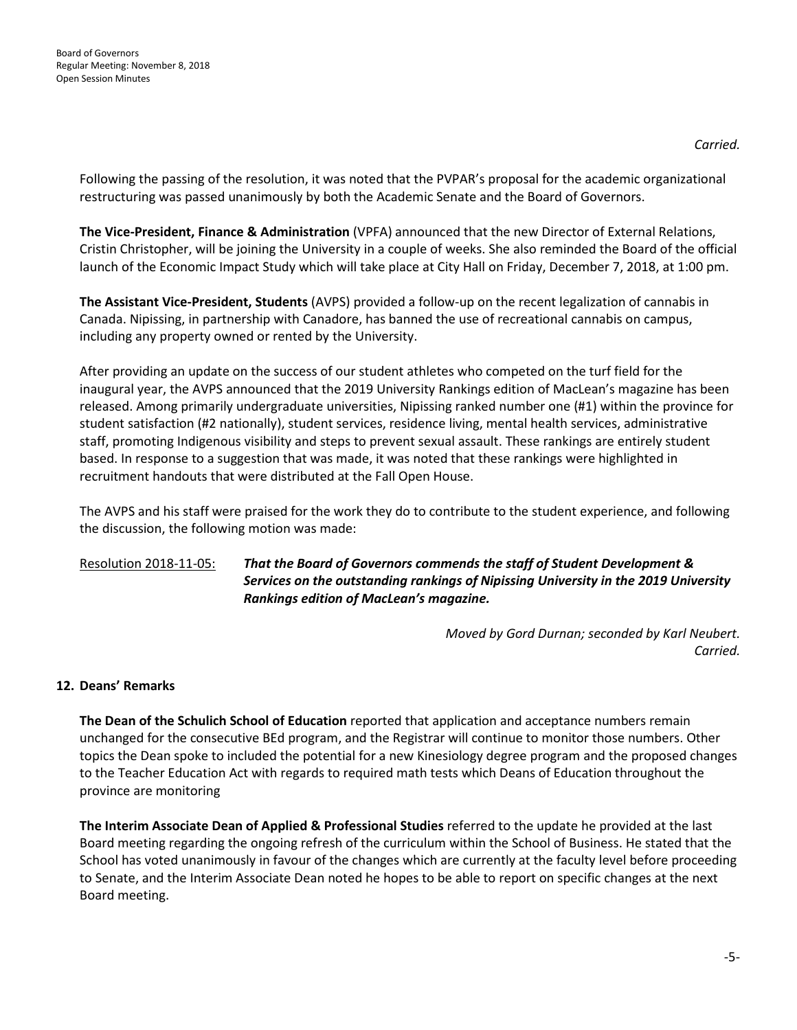*Carried.*

Following the passing of the resolution, it was noted that the PVPAR's proposal for the academic organizational restructuring was passed unanimously by both the Academic Senate and the Board of Governors.

**The Vice-President, Finance & Administration** (VPFA) announced that the new Director of External Relations, Cristin Christopher, will be joining the University in a couple of weeks. She also reminded the Board of the official launch of the Economic Impact Study which will take place at City Hall on Friday, December 7, 2018, at 1:00 pm.

**The Assistant Vice-President, Students** (AVPS) provided a follow-up on the recent legalization of cannabis in Canada. Nipissing, in partnership with Canadore, has banned the use of recreational cannabis on campus, including any property owned or rented by the University.

After providing an update on the success of our student athletes who competed on the turf field for the inaugural year, the AVPS announced that the 2019 University Rankings edition of MacLean's magazine has been released. Among primarily undergraduate universities, Nipissing ranked number one (#1) within the province for student satisfaction (#2 nationally), student services, residence living, mental health services, administrative staff, promoting Indigenous visibility and steps to prevent sexual assault. These rankings are entirely student based. In response to a suggestion that was made, it was noted that these rankings were highlighted in recruitment handouts that were distributed at the Fall Open House.

The AVPS and his staff were praised for the work they do to contribute to the student experience, and following the discussion, the following motion was made:

Resolution 2018-11-05: *That the Board of Governors commends the staff of Student Development & Services on the outstanding rankings of Nipissing University in the 2019 University Rankings edition of MacLean's magazine.*

> *Moved by Gord Durnan; seconded by Karl Neubert. Carried.*

## **12. Deans' Remarks**

**The Dean of the Schulich School of Education** reported that application and acceptance numbers remain unchanged for the consecutive BEd program, and the Registrar will continue to monitor those numbers. Other topics the Dean spoke to included the potential for a new Kinesiology degree program and the proposed changes to the Teacher Education Act with regards to required math tests which Deans of Education throughout the province are monitoring

**The Interim Associate Dean of Applied & Professional Studies** referred to the update he provided at the last Board meeting regarding the ongoing refresh of the curriculum within the School of Business. He stated that the School has voted unanimously in favour of the changes which are currently at the faculty level before proceeding to Senate, and the Interim Associate Dean noted he hopes to be able to report on specific changes at the next Board meeting.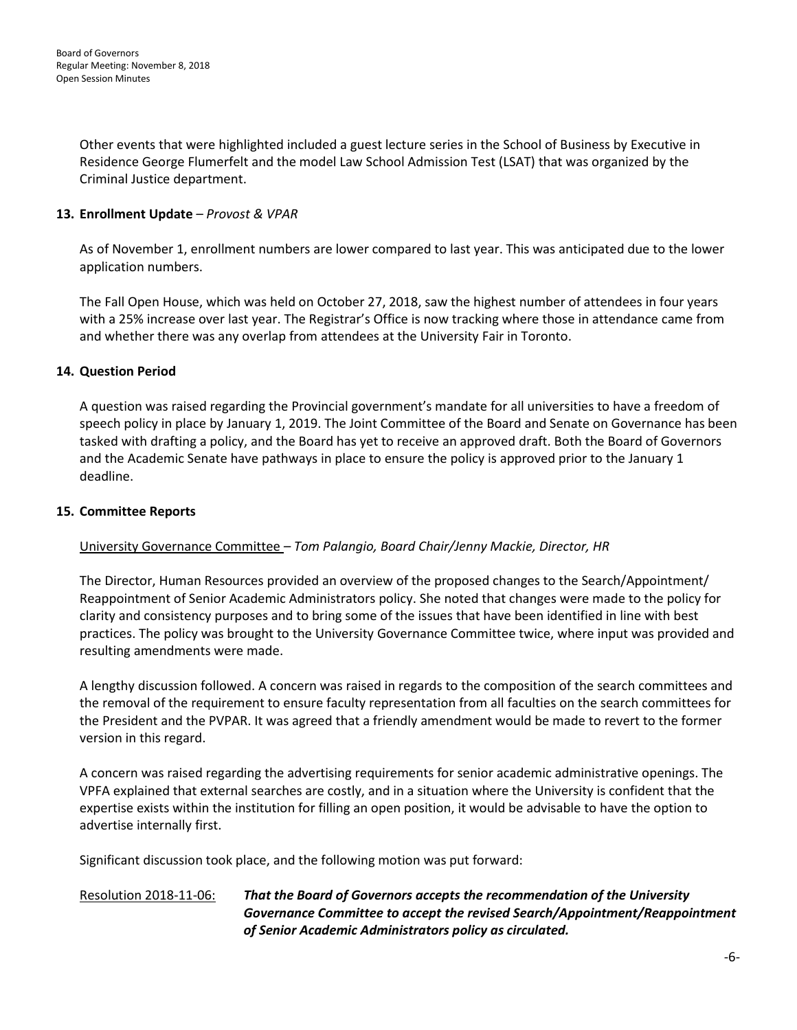Other events that were highlighted included a guest lecture series in the School of Business by Executive in Residence George Flumerfelt and the model Law School Admission Test (LSAT) that was organized by the Criminal Justice department.

## **13. Enrollment Update** *– Provost & VPAR*

As of November 1, enrollment numbers are lower compared to last year. This was anticipated due to the lower application numbers.

The Fall Open House, which was held on October 27, 2018, saw the highest number of attendees in four years with a 25% increase over last year. The Registrar's Office is now tracking where those in attendance came from and whether there was any overlap from attendees at the University Fair in Toronto.

## **14. Question Period**

A question was raised regarding the Provincial government's mandate for all universities to have a freedom of speech policy in place by January 1, 2019. The Joint Committee of the Board and Senate on Governance has been tasked with drafting a policy, and the Board has yet to receive an approved draft. Both the Board of Governors and the Academic Senate have pathways in place to ensure the policy is approved prior to the January 1 deadline.

## **15. Committee Reports**

## University Governance Committee *– Tom Palangio, Board Chair/Jenny Mackie, Director, HR*

The Director, Human Resources provided an overview of the proposed changes to the Search/Appointment/ Reappointment of Senior Academic Administrators policy. She noted that changes were made to the policy for clarity and consistency purposes and to bring some of the issues that have been identified in line with best practices. The policy was brought to the University Governance Committee twice, where input was provided and resulting amendments were made.

A lengthy discussion followed. A concern was raised in regards to the composition of the search committees and the removal of the requirement to ensure faculty representation from all faculties on the search committees for the President and the PVPAR. It was agreed that a friendly amendment would be made to revert to the former version in this regard.

A concern was raised regarding the advertising requirements for senior academic administrative openings. The VPFA explained that external searches are costly, and in a situation where the University is confident that the expertise exists within the institution for filling an open position, it would be advisable to have the option to advertise internally first.

Significant discussion took place, and the following motion was put forward:

## Resolution 2018-11-06: *That the Board of Governors accepts the recommendation of the University Governance Committee to accept the revised Search/Appointment/Reappointment of Senior Academic Administrators policy as circulated.*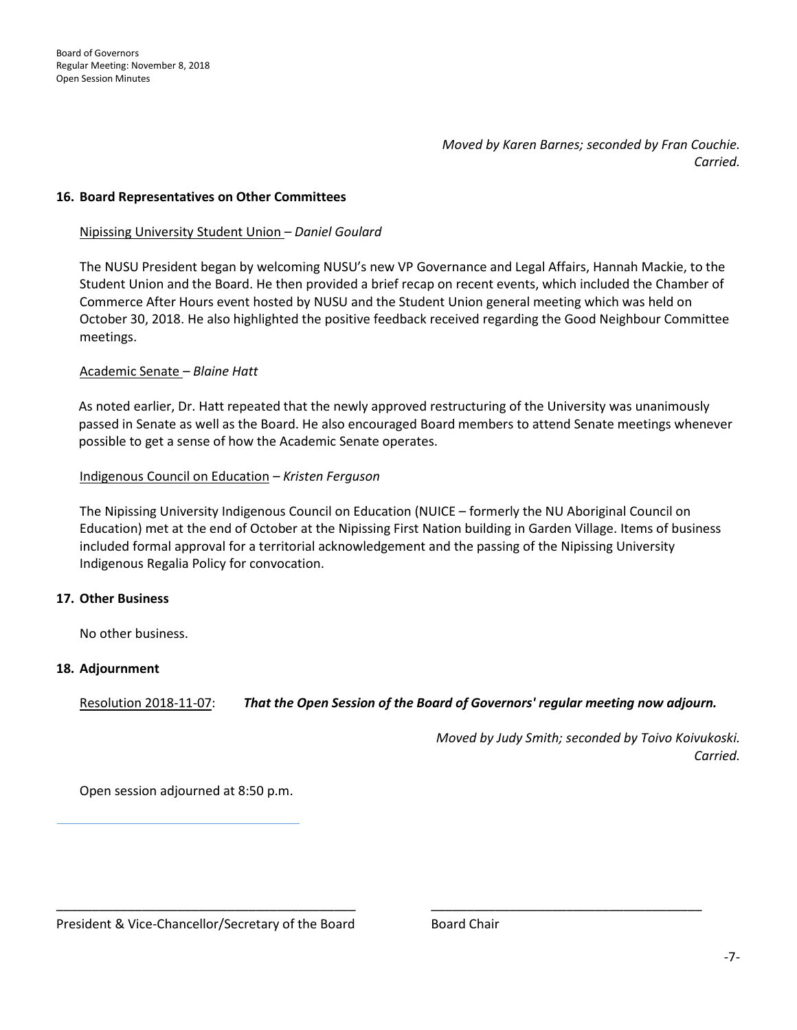*Moved by Karen Barnes; seconded by Fran Couchie. Carried.* 

#### **16. Board Representatives on Other Committees**

#### Nipissing University Student Union *– Daniel Goulard*

The NUSU President began by welcoming NUSU's new VP Governance and Legal Affairs, Hannah Mackie, to the Student Union and the Board. He then provided a brief recap on recent events, which included the Chamber of Commerce After Hours event hosted by NUSU and the Student Union general meeting which was held on October 30, 2018. He also highlighted the positive feedback received regarding the Good Neighbour Committee meetings.

#### Academic Senate *– Blaine Hatt*

As noted earlier, Dr. Hatt repeated that the newly approved restructuring of the University was unanimously passed in Senate as well as the Board. He also encouraged Board members to attend Senate meetings whenever possible to get a sense of how the Academic Senate operates.

#### Indigenous Council on Education *– Kristen Ferguson*

The Nipissing University Indigenous Council on Education (NUICE – formerly the NU Aboriginal Council on Education) met at the end of October at the Nipissing First Nation building in Garden Village. Items of business included formal approval for a territorial acknowledgement and the passing of the Nipissing University Indigenous Regalia Policy for convocation.

#### **17. Other Business**

No other business.

## **18. Adjournment**

Resolution 2018-11-07: *That the Open Session of the Board of Governors' regular meeting now adjourn.*

\_\_\_\_\_\_\_\_\_\_\_\_\_\_\_\_\_\_\_\_\_\_\_\_\_\_\_\_\_\_\_\_\_\_\_\_\_\_\_\_\_\_ \_\_\_\_\_\_\_\_\_\_\_\_\_\_\_\_\_\_\_\_\_\_\_\_\_\_\_\_\_\_\_\_\_\_\_\_\_\_

*Moved by Judy Smith; seconded by Toivo Koivukoski. Carried.* 

Open session adjourned at 8:50 p.m.

President & Vice-Chancellor/Secretary of the Board **Board Chair**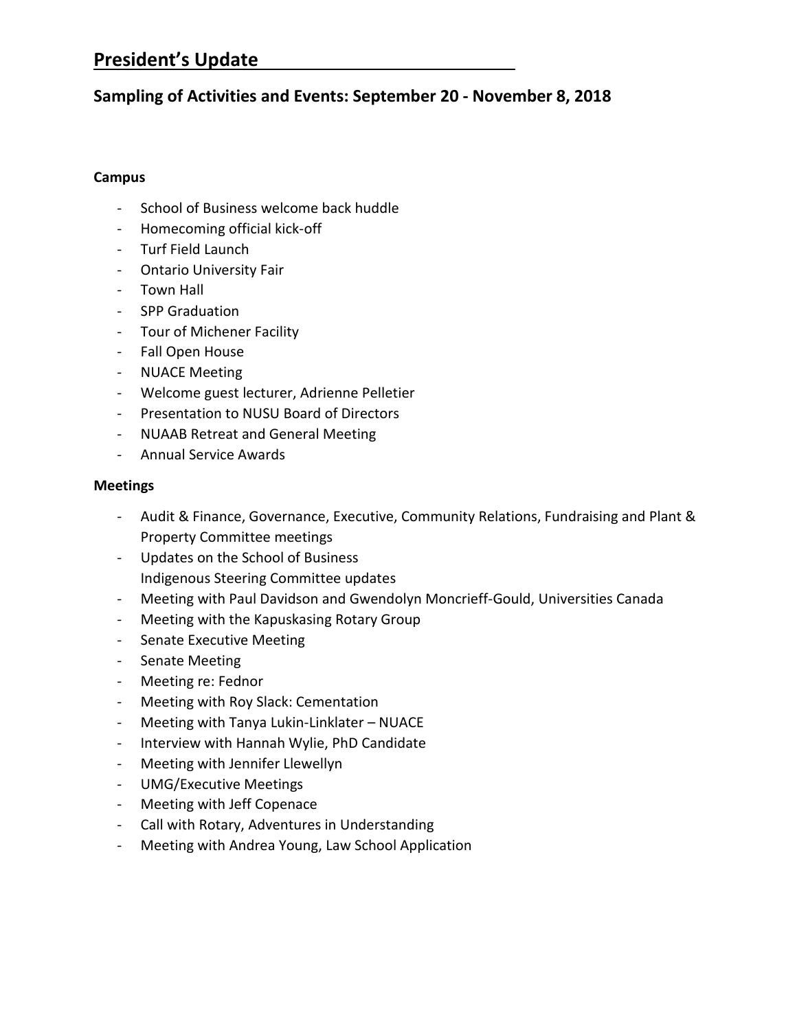# **President's Update**

# **Sampling of Activities and Events: September 20 - November 8, 2018**

## **Campus**

- School of Business welcome back huddle
- Homecoming official kick-off
- Turf Field Launch
- Ontario University Fair
- Town Hall
- SPP Graduation
- Tour of Michener Facility
- Fall Open House
- NUACE Meeting
- Welcome guest lecturer, Adrienne Pelletier
- Presentation to NUSU Board of Directors
- NUAAB Retreat and General Meeting
- Annual Service Awards

## **Meetings**

- Audit & Finance, Governance, Executive, Community Relations, Fundraising and Plant & Property Committee meetings
- Updates on the School of Business Indigenous Steering Committee updates
- Meeting with Paul Davidson and Gwendolyn Moncrieff-Gould, Universities Canada
- Meeting with the Kapuskasing Rotary Group
- Senate Executive Meeting
- Senate Meeting
- Meeting re: Fednor
- Meeting with Roy Slack: Cementation
- Meeting with Tanya Lukin-Linklater NUACE
- Interview with Hannah Wylie, PhD Candidate
- Meeting with Jennifer Llewellyn
- UMG/Executive Meetings
- Meeting with Jeff Copenace
- Call with Rotary, Adventures in Understanding
- Meeting with Andrea Young, Law School Application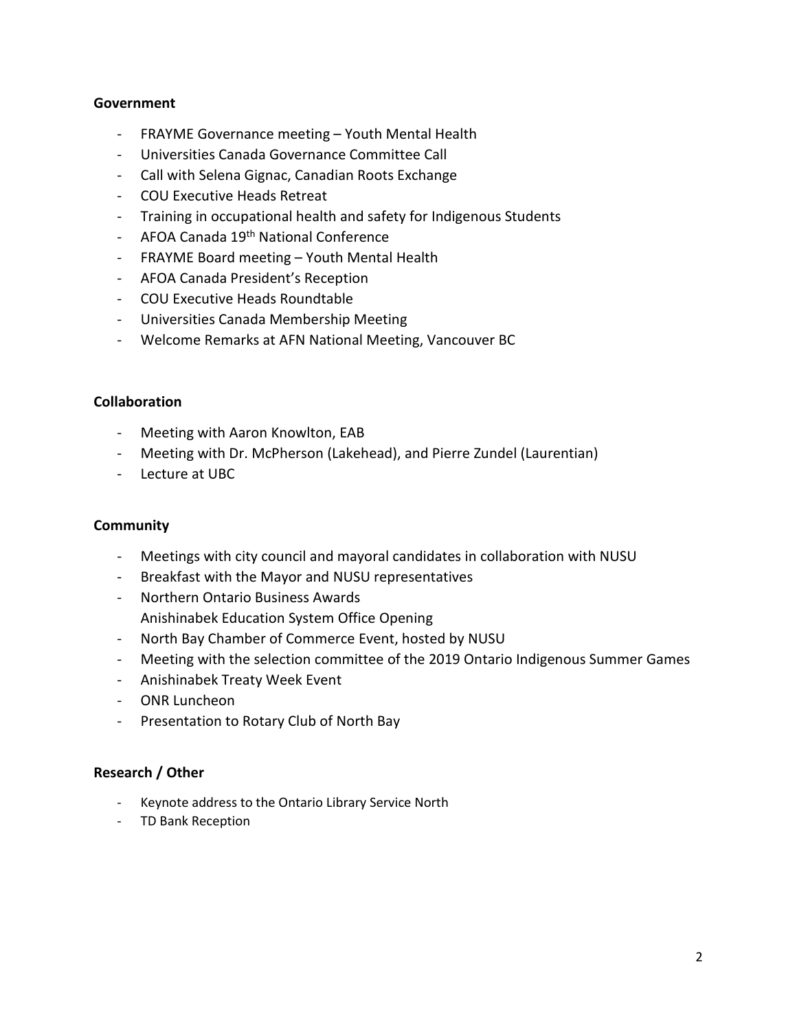## **Government**

- FRAYME Governance meeting Youth Mental Health
- Universities Canada Governance Committee Call
- Call with Selena Gignac, Canadian Roots Exchange
- COU Executive Heads Retreat
- Training in occupational health and safety for Indigenous Students
- AFOA Canada 19<sup>th</sup> National Conference
- FRAYME Board meeting Youth Mental Health
- AFOA Canada President's Reception
- COU Executive Heads Roundtable
- Universities Canada Membership Meeting
- Welcome Remarks at AFN National Meeting, Vancouver BC

## **Collaboration**

- Meeting with Aaron Knowlton, EAB
- Meeting with Dr. McPherson (Lakehead), and Pierre Zundel (Laurentian)
- Lecture at UBC

## **Community**

- Meetings with city council and mayoral candidates in collaboration with NUSU
- Breakfast with the Mayor and NUSU representatives
- Northern Ontario Business Awards Anishinabek Education System Office Opening
- North Bay Chamber of Commerce Event, hosted by NUSU
- Meeting with the selection committee of the 2019 Ontario Indigenous Summer Games
- Anishinabek Treaty Week Event
- ONR Luncheon
- Presentation to Rotary Club of North Bay

## **Research / Other**

- Keynote address to the Ontario Library Service North
- TD Bank Reception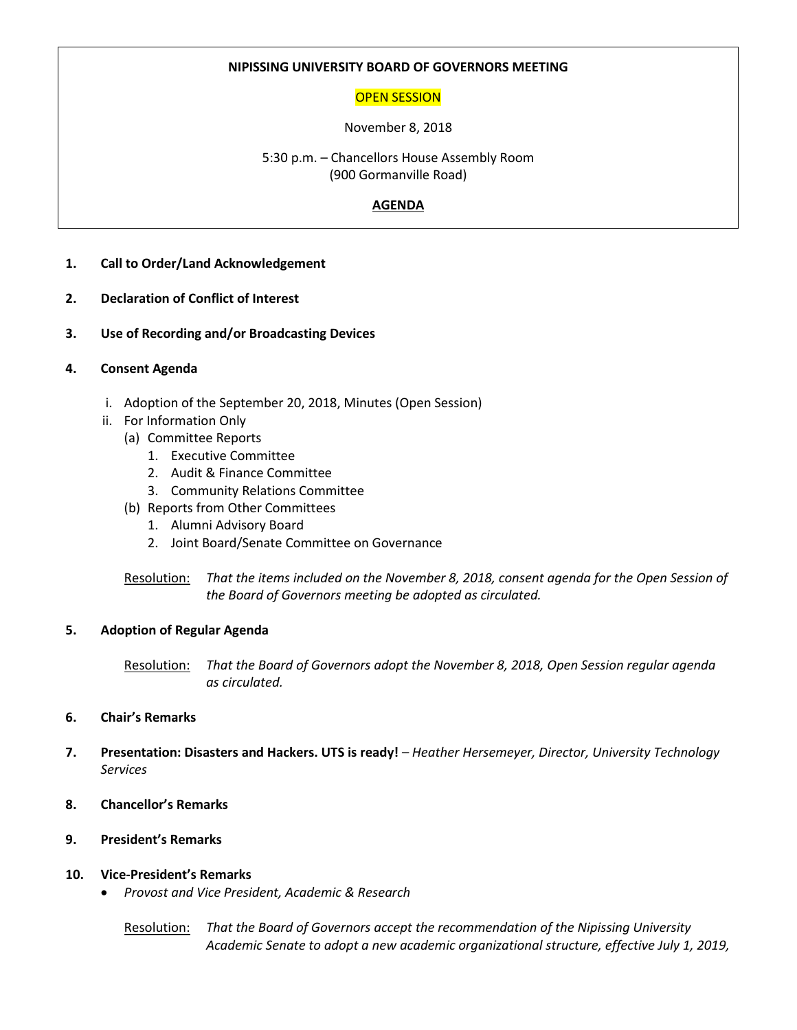## **NIPISSING UNIVERSITY BOARD OF GOVERNORS MEETING**

## OPEN SESSION

## November 8, 2018

5:30 p.m. – Chancellors House Assembly Room (900 Gormanville Road)

## **AGENDA**

- **1. Call to Order/Land Acknowledgement**
- **2. Declaration of Conflict of Interest**
- **3. Use of Recording and/or Broadcasting Devices**
- **4. Consent Agenda**
	- i. Adoption of the September 20, 2018, Minutes (Open Session)
	- ii. For Information Only
		- (a) Committee Reports
			- 1. Executive Committee
			- 2. Audit & Finance Committee
			- 3. Community Relations Committee
		- (b) Reports from Other Committees
			- 1. Alumni Advisory Board
			- 2. Joint Board/Senate Committee on Governance
		- Resolution: *That the items included on the November 8, 2018, consent agenda for the Open Session of the Board of Governors meeting be adopted as circulated.*

## **5. Adoption of Regular Agenda**

Resolution: *That the Board of Governors adopt the November 8, 2018, Open Session regular agenda as circulated.*

## **6. Chair's Remarks**

- **7. Presentation: Disasters and Hackers. UTS is ready!** *– Heather Hersemeyer, Director, University Technology Services*
- **8. Chancellor's Remarks**
- **9. President's Remarks**
- **10. Vice-President's Remarks**
	- *Provost and Vice President, Academic & Research*

Resolution: *That the Board of Governors accept the recommendation of the Nipissing University Academic Senate to adopt a new academic organizational structure, effective July 1, 2019,*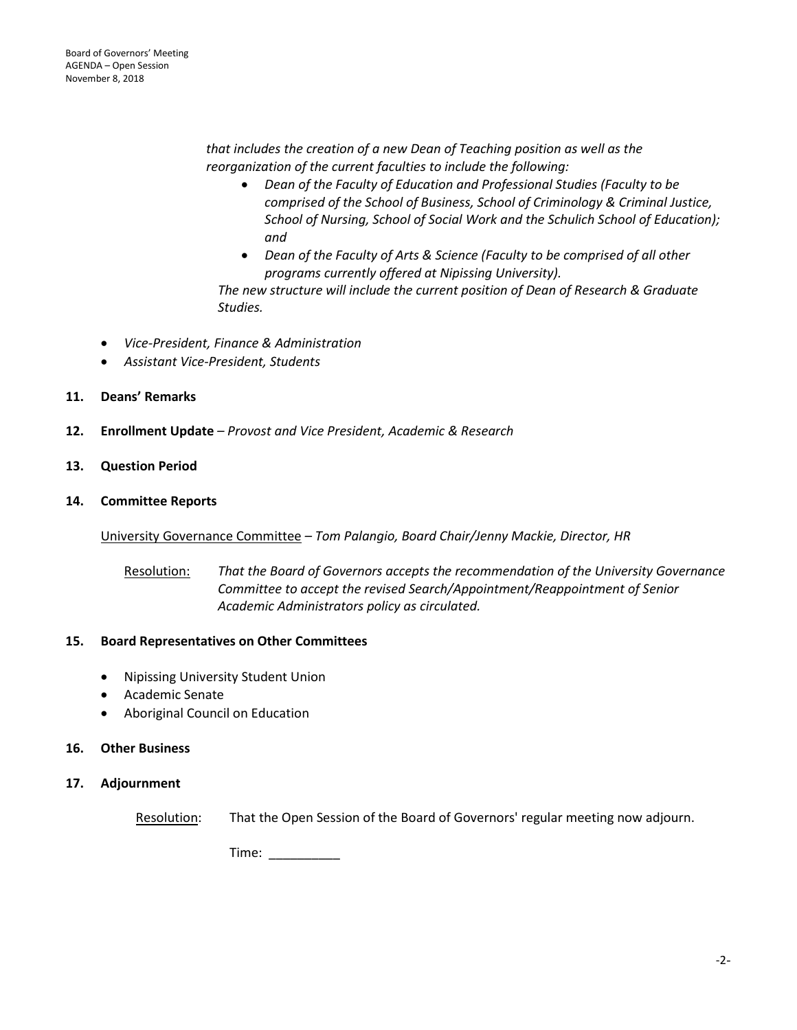*that includes the creation of a new Dean of Teaching position as well as the reorganization of the current faculties to include the following:*

- *Dean of the Faculty of Education and Professional Studies (Faculty to be comprised of the School of Business, School of Criminology & Criminal Justice, School of Nursing, School of Social Work and the Schulich School of Education); and*
- *Dean of the Faculty of Arts & Science (Faculty to be comprised of all other programs currently offered at Nipissing University).*

*The new structure will include the current position of Dean of Research & Graduate Studies.*

- *Vice-President, Finance & Administration*
- *Assistant Vice-President, Students*
- **11. Deans' Remarks**
- **12. Enrollment Update** *– Provost and Vice President, Academic & Research*
- **13. Question Period**
- **14. Committee Reports**

University Governance Committee *– Tom Palangio, Board Chair/Jenny Mackie, Director, HR*

Resolution: *That the Board of Governors accepts the recommendation of the University Governance Committee to accept the revised Search/Appointment/Reappointment of Senior Academic Administrators policy as circulated.*

## **15. Board Representatives on Other Committees**

- Nipissing University Student Union
- Academic Senate
- Aboriginal Council on Education

#### **16. Other Business**

#### **17. Adjournment**

Resolution: That the Open Session of the Board of Governors' regular meeting now adjourn.

Time: \_\_\_\_\_\_\_\_\_\_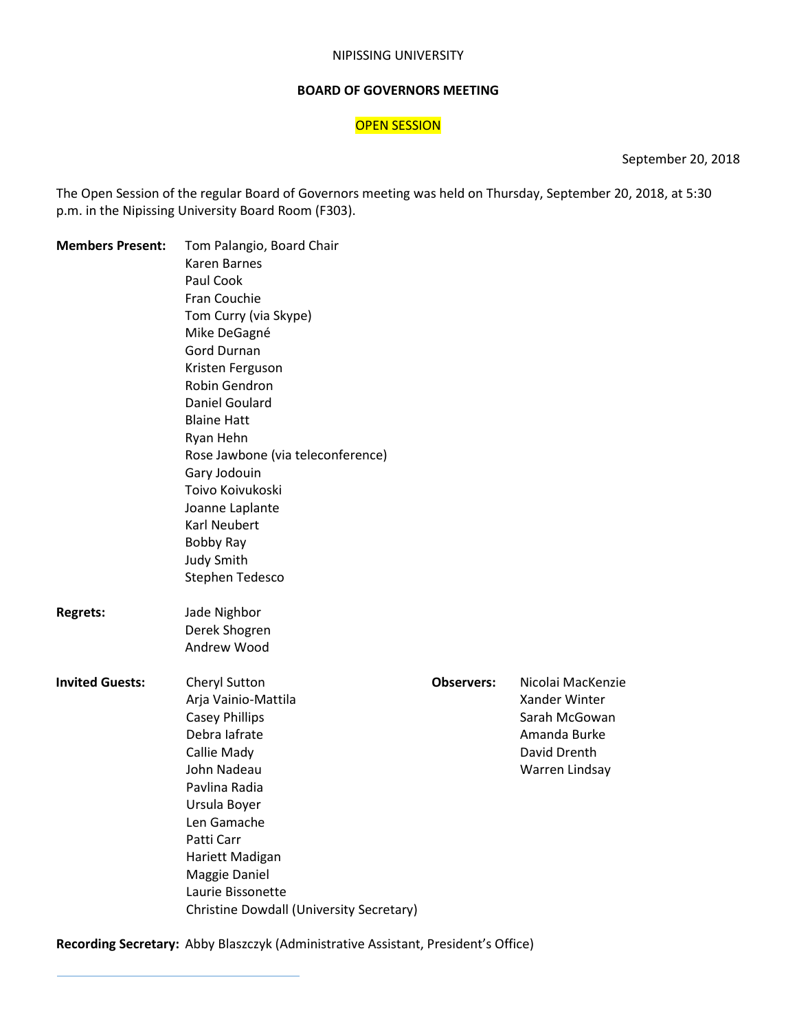#### NIPISSING UNIVERSITY

#### **BOARD OF GOVERNORS MEETING**

## OPEN SESSION

September 20, 2018

The Open Session of the regular Board of Governors meeting was held on Thursday, September 20, 2018, at 5:30 p.m. in the Nipissing University Board Room (F303).

| <b>Members Present:</b> | Tom Palangio, Board Chair                |                   |                   |
|-------------------------|------------------------------------------|-------------------|-------------------|
|                         | Karen Barnes                             |                   |                   |
|                         | Paul Cook                                |                   |                   |
|                         | Fran Couchie                             |                   |                   |
|                         | Tom Curry (via Skype)                    |                   |                   |
|                         | Mike DeGagné                             |                   |                   |
|                         | <b>Gord Durnan</b>                       |                   |                   |
|                         | Kristen Ferguson                         |                   |                   |
|                         | Robin Gendron                            |                   |                   |
|                         | Daniel Goulard                           |                   |                   |
|                         | <b>Blaine Hatt</b>                       |                   |                   |
|                         | Ryan Hehn                                |                   |                   |
|                         | Rose Jawbone (via teleconference)        |                   |                   |
|                         | Gary Jodouin                             |                   |                   |
|                         | Toivo Koivukoski                         |                   |                   |
|                         | Joanne Laplante                          |                   |                   |
|                         | <b>Karl Neubert</b>                      |                   |                   |
|                         | Bobby Ray                                |                   |                   |
|                         | <b>Judy Smith</b>                        |                   |                   |
|                         | Stephen Tedesco                          |                   |                   |
| <b>Regrets:</b>         | Jade Nighbor                             |                   |                   |
|                         | Derek Shogren                            |                   |                   |
|                         | Andrew Wood                              |                   |                   |
| <b>Invited Guests:</b>  | Cheryl Sutton                            | <b>Observers:</b> | Nicolai MacKenzie |
|                         | Arja Vainio-Mattila                      |                   | Xander Winter     |
|                         | <b>Casey Phillips</b>                    |                   | Sarah McGowan     |
|                         | Debra lafrate                            |                   | Amanda Burke      |
|                         | Callie Mady                              |                   | David Drenth      |
|                         | John Nadeau                              |                   | Warren Lindsay    |
|                         | Pavlina Radia                            |                   |                   |
|                         | Ursula Boyer                             |                   |                   |
|                         | Len Gamache                              |                   |                   |
|                         | Patti Carr                               |                   |                   |
|                         | Hariett Madigan                          |                   |                   |
|                         | Maggie Daniel                            |                   |                   |
|                         | Laurie Bissonette                        |                   |                   |
|                         | Christine Dowdall (University Secretary) |                   |                   |

**Recording Secretary:** Abby Blaszczyk (Administrative Assistant, President's Office)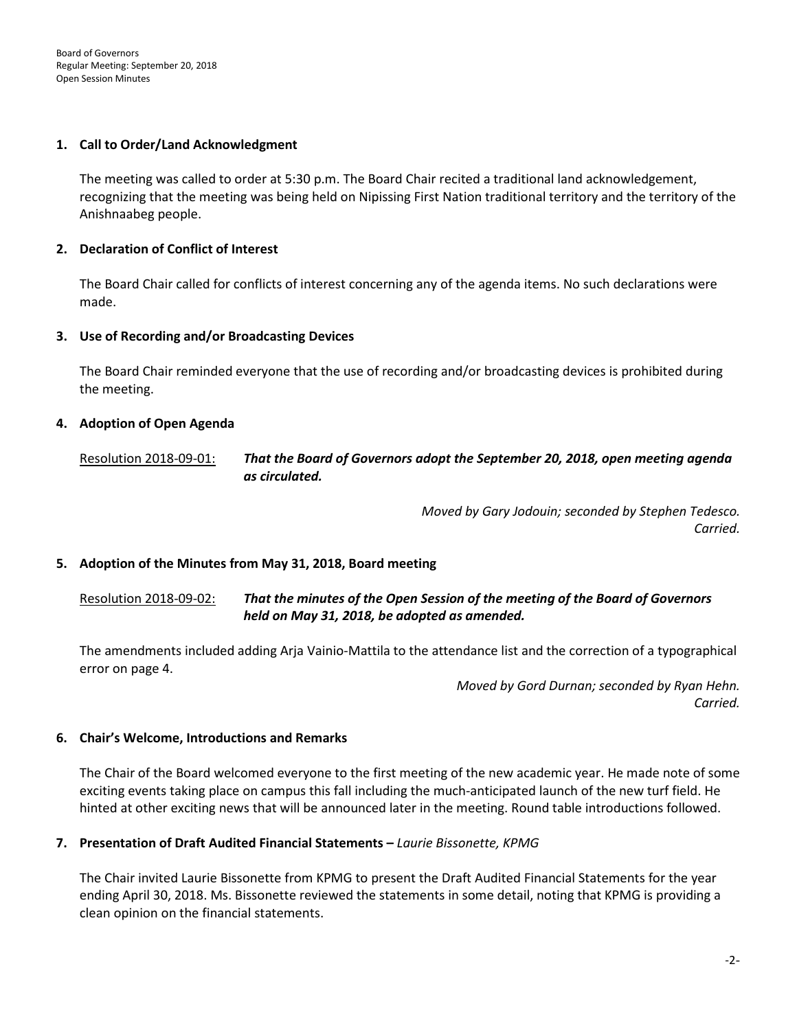Board of Governors Regular Meeting: September 20, 2018 Open Session Minutes

#### **1. Call to Order/Land Acknowledgment**

The meeting was called to order at 5:30 p.m. The Board Chair recited a traditional land acknowledgement, recognizing that the meeting was being held on Nipissing First Nation traditional territory and the territory of the Anishnaabeg people.

## **2. Declaration of Conflict of Interest**

The Board Chair called for conflicts of interest concerning any of the agenda items. No such declarations were made.

#### **3. Use of Recording and/or Broadcasting Devices**

The Board Chair reminded everyone that the use of recording and/or broadcasting devices is prohibited during the meeting.

#### **4. Adoption of Open Agenda**

Resolution 2018-09-01: *That the Board of Governors adopt the September 20, 2018, open meeting agenda as circulated.* 

> *Moved by Gary Jodouin; seconded by Stephen Tedesco. Carried.*

#### **5. Adoption of the Minutes from May 31, 2018, Board meeting**

## Resolution 2018-09-02: *That the minutes of the Open Session of the meeting of the Board of Governors held on May 31, 2018, be adopted as amended.*

The amendments included adding Arja Vainio-Mattila to the attendance list and the correction of a typographical error on page 4.

> *Moved by Gord Durnan; seconded by Ryan Hehn. Carried.*

#### **6. Chair's Welcome, Introductions and Remarks**

The Chair of the Board welcomed everyone to the first meeting of the new academic year. He made note of some exciting events taking place on campus this fall including the much-anticipated launch of the new turf field. He hinted at other exciting news that will be announced later in the meeting. Round table introductions followed.

## **7. Presentation of Draft Audited Financial Statements –** *Laurie Bissonette, KPMG*

The Chair invited Laurie Bissonette from KPMG to present the Draft Audited Financial Statements for the year ending April 30, 2018. Ms. Bissonette reviewed the statements in some detail, noting that KPMG is providing a clean opinion on the financial statements.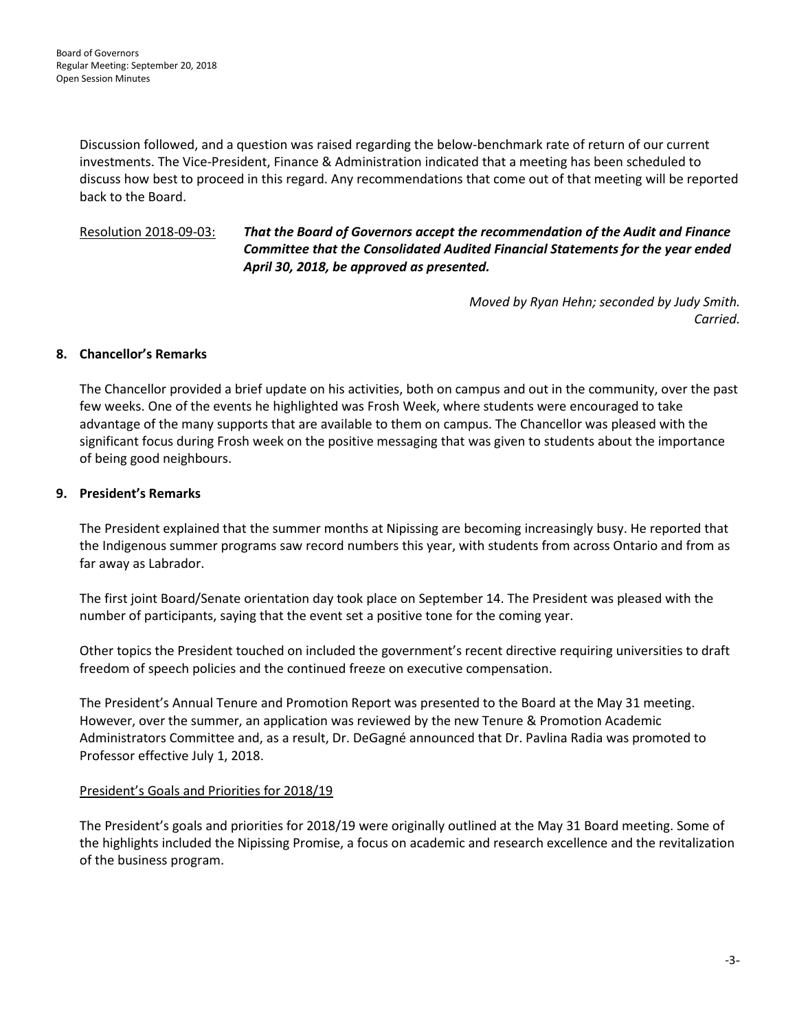Discussion followed, and a question was raised regarding the below-benchmark rate of return of our current investments. The Vice-President, Finance & Administration indicated that a meeting has been scheduled to discuss how best to proceed in this regard. Any recommendations that come out of that meeting will be reported back to the Board.

Resolution 2018-09-03: *That the Board of Governors accept the recommendation of the Audit and Finance Committee that the Consolidated Audited Financial Statements for the year ended April 30, 2018, be approved as presented.*

> *Moved by Ryan Hehn; seconded by Judy Smith. Carried.*

## **8. Chancellor's Remarks**

The Chancellor provided a brief update on his activities, both on campus and out in the community, over the past few weeks. One of the events he highlighted was Frosh Week, where students were encouraged to take advantage of the many supports that are available to them on campus. The Chancellor was pleased with the significant focus during Frosh week on the positive messaging that was given to students about the importance of being good neighbours.

## **9. President's Remarks**

The President explained that the summer months at Nipissing are becoming increasingly busy. He reported that the Indigenous summer programs saw record numbers this year, with students from across Ontario and from as far away as Labrador.

The first joint Board/Senate orientation day took place on September 14. The President was pleased with the number of participants, saying that the event set a positive tone for the coming year.

Other topics the President touched on included the government's recent directive requiring universities to draft freedom of speech policies and the continued freeze on executive compensation.

The President's Annual Tenure and Promotion Report was presented to the Board at the May 31 meeting. However, over the summer, an application was reviewed by the new Tenure & Promotion Academic Administrators Committee and, as a result, Dr. DeGagné announced that Dr. Pavlina Radia was promoted to Professor effective July 1, 2018.

## President's Goals and Priorities for 2018/19

The President's goals and priorities for 2018/19 were originally outlined at the May 31 Board meeting. Some of the highlights included the Nipissing Promise, a focus on academic and research excellence and the revitalization of the business program.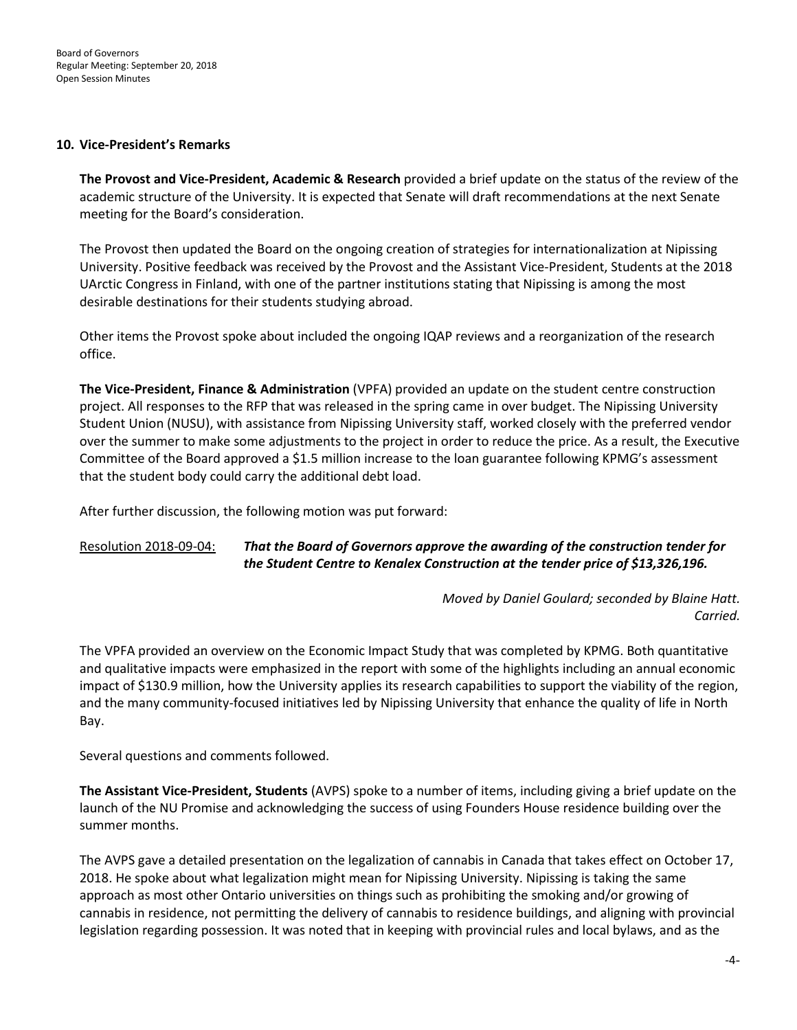#### **10. Vice-President's Remarks**

**The Provost and Vice-President, Academic & Research** provided a brief update on the status of the review of the academic structure of the University. It is expected that Senate will draft recommendations at the next Senate meeting for the Board's consideration.

The Provost then updated the Board on the ongoing creation of strategies for internationalization at Nipissing University. Positive feedback was received by the Provost and the Assistant Vice-President, Students at the 2018 UArctic Congress in Finland, with one of the partner institutions stating that Nipissing is among the most desirable destinations for their students studying abroad.

Other items the Provost spoke about included the ongoing IQAP reviews and a reorganization of the research office.

**The Vice-President, Finance & Administration** (VPFA) provided an update on the student centre construction project. All responses to the RFP that was released in the spring came in over budget. The Nipissing University Student Union (NUSU), with assistance from Nipissing University staff, worked closely with the preferred vendor over the summer to make some adjustments to the project in order to reduce the price. As a result, the Executive Committee of the Board approved a \$1.5 million increase to the loan guarantee following KPMG's assessment that the student body could carry the additional debt load.

After further discussion, the following motion was put forward:

## Resolution 2018-09-04: *That the Board of Governors approve the awarding of the construction tender for the Student Centre to Kenalex Construction at the tender price of \$13,326,196.*

*Moved by Daniel Goulard; seconded by Blaine Hatt. Carried.*

The VPFA provided an overview on the Economic Impact Study that was completed by KPMG. Both quantitative and qualitative impacts were emphasized in the report with some of the highlights including an annual economic impact of \$130.9 million, how the University applies its research capabilities to support the viability of the region, and the many community-focused initiatives led by Nipissing University that enhance the quality of life in North Bay.

Several questions and comments followed.

**The Assistant Vice-President, Students** (AVPS) spoke to a number of items, including giving a brief update on the launch of the NU Promise and acknowledging the success of using Founders House residence building over the summer months.

The AVPS gave a detailed presentation on the legalization of cannabis in Canada that takes effect on October 17, 2018. He spoke about what legalization might mean for Nipissing University. Nipissing is taking the same approach as most other Ontario universities on things such as prohibiting the smoking and/or growing of cannabis in residence, not permitting the delivery of cannabis to residence buildings, and aligning with provincial legislation regarding possession. It was noted that in keeping with provincial rules and local bylaws, and as the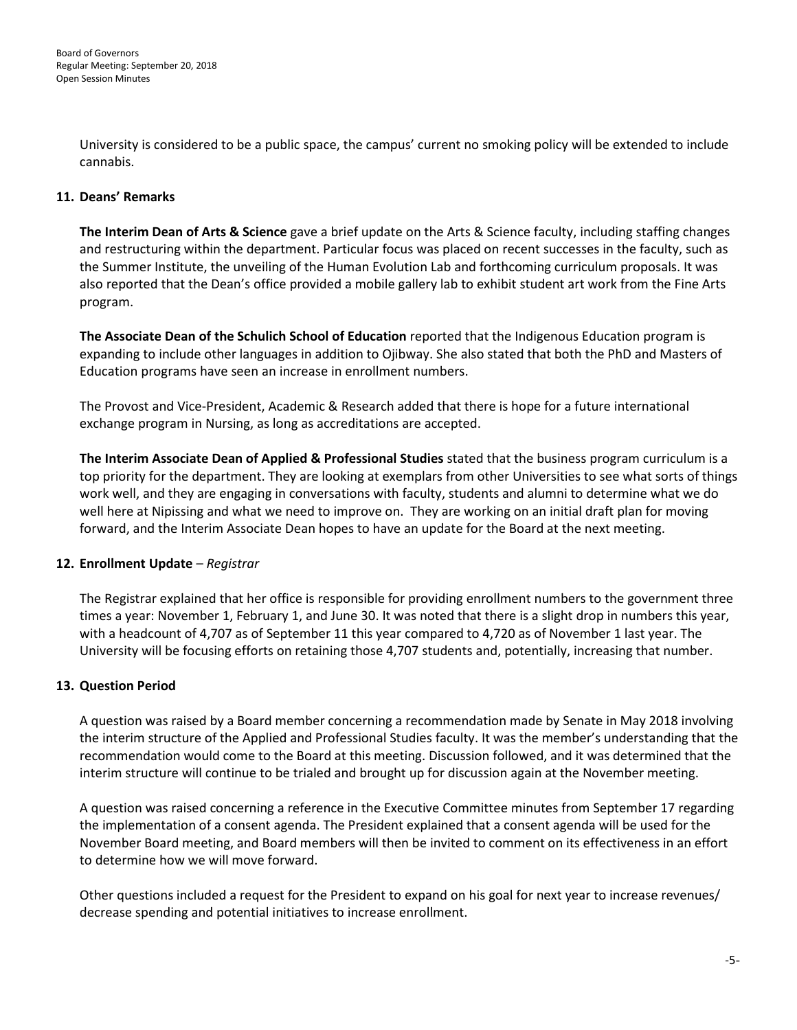University is considered to be a public space, the campus' current no smoking policy will be extended to include cannabis.

## **11. Deans' Remarks**

**The Interim Dean of Arts & Science** gave a brief update on the Arts & Science faculty, including staffing changes and restructuring within the department. Particular focus was placed on recent successes in the faculty, such as the Summer Institute, the unveiling of the Human Evolution Lab and forthcoming curriculum proposals. It was also reported that the Dean's office provided a mobile gallery lab to exhibit student art work from the Fine Arts program.

**The Associate Dean of the Schulich School of Education** reported that the Indigenous Education program is expanding to include other languages in addition to Ojibway. She also stated that both the PhD and Masters of Education programs have seen an increase in enrollment numbers.

The Provost and Vice-President, Academic & Research added that there is hope for a future international exchange program in Nursing, as long as accreditations are accepted.

**The Interim Associate Dean of Applied & Professional Studies** stated that the business program curriculum is a top priority for the department. They are looking at exemplars from other Universities to see what sorts of things work well, and they are engaging in conversations with faculty, students and alumni to determine what we do well here at Nipissing and what we need to improve on. They are working on an initial draft plan for moving forward, and the Interim Associate Dean hopes to have an update for the Board at the next meeting.

## **12. Enrollment Update** *– Registrar*

The Registrar explained that her office is responsible for providing enrollment numbers to the government three times a year: November 1, February 1, and June 30. It was noted that there is a slight drop in numbers this year, with a headcount of 4,707 as of September 11 this year compared to 4,720 as of November 1 last year. The University will be focusing efforts on retaining those 4,707 students and, potentially, increasing that number.

## **13. Question Period**

A question was raised by a Board member concerning a recommendation made by Senate in May 2018 involving the interim structure of the Applied and Professional Studies faculty. It was the member's understanding that the recommendation would come to the Board at this meeting. Discussion followed, and it was determined that the interim structure will continue to be trialed and brought up for discussion again at the November meeting.

A question was raised concerning a reference in the Executive Committee minutes from September 17 regarding the implementation of a consent agenda. The President explained that a consent agenda will be used for the November Board meeting, and Board members will then be invited to comment on its effectiveness in an effort to determine how we will move forward.

Other questions included a request for the President to expand on his goal for next year to increase revenues/ decrease spending and potential initiatives to increase enrollment.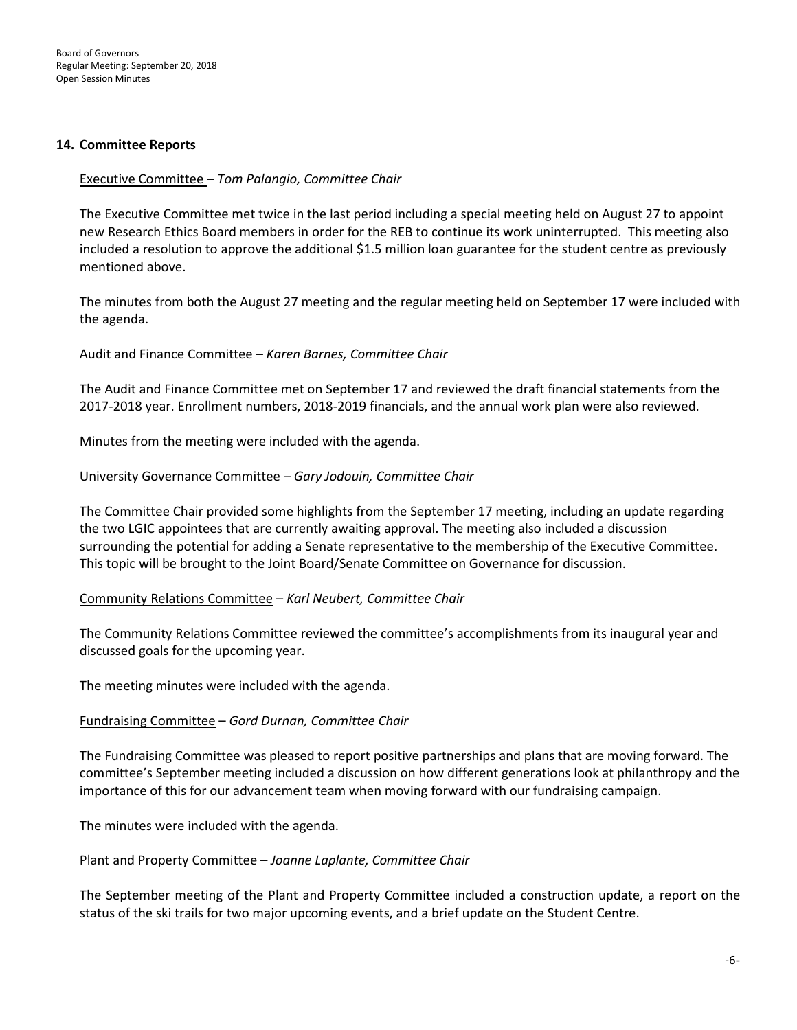#### **14. Committee Reports**

## Executive Committee *– Tom Palangio, Committee Chair*

The Executive Committee met twice in the last period including a special meeting held on August 27 to appoint new Research Ethics Board members in order for the REB to continue its work uninterrupted. This meeting also included a resolution to approve the additional \$1.5 million loan guarantee for the student centre as previously mentioned above.

The minutes from both the August 27 meeting and the regular meeting held on September 17 were included with the agenda.

#### Audit and Finance Committee – *Karen Barnes, Committee Chair*

The Audit and Finance Committee met on September 17 and reviewed the draft financial statements from the 2017-2018 year. Enrollment numbers, 2018-2019 financials, and the annual work plan were also reviewed.

Minutes from the meeting were included with the agenda.

#### University Governance Committee *– Gary Jodouin, Committee Chair*

The Committee Chair provided some highlights from the September 17 meeting, including an update regarding the two LGIC appointees that are currently awaiting approval. The meeting also included a discussion surrounding the potential for adding a Senate representative to the membership of the Executive Committee. This topic will be brought to the Joint Board/Senate Committee on Governance for discussion.

#### Community Relations Committee – *Karl Neubert, Committee Chair*

The Community Relations Committee reviewed the committee's accomplishments from its inaugural year and discussed goals for the upcoming year.

The meeting minutes were included with the agenda.

## Fundraising Committee – *Gord Durnan, Committee Chair*

The Fundraising Committee was pleased to report positive partnerships and plans that are moving forward. The committee's September meeting included a discussion on how different generations look at philanthropy and the importance of this for our advancement team when moving forward with our fundraising campaign.

The minutes were included with the agenda.

#### Plant and Property Committee – *Joanne Laplante, Committee Chair*

The September meeting of the Plant and Property Committee included a construction update, a report on the status of the ski trails for two major upcoming events, and a brief update on the Student Centre.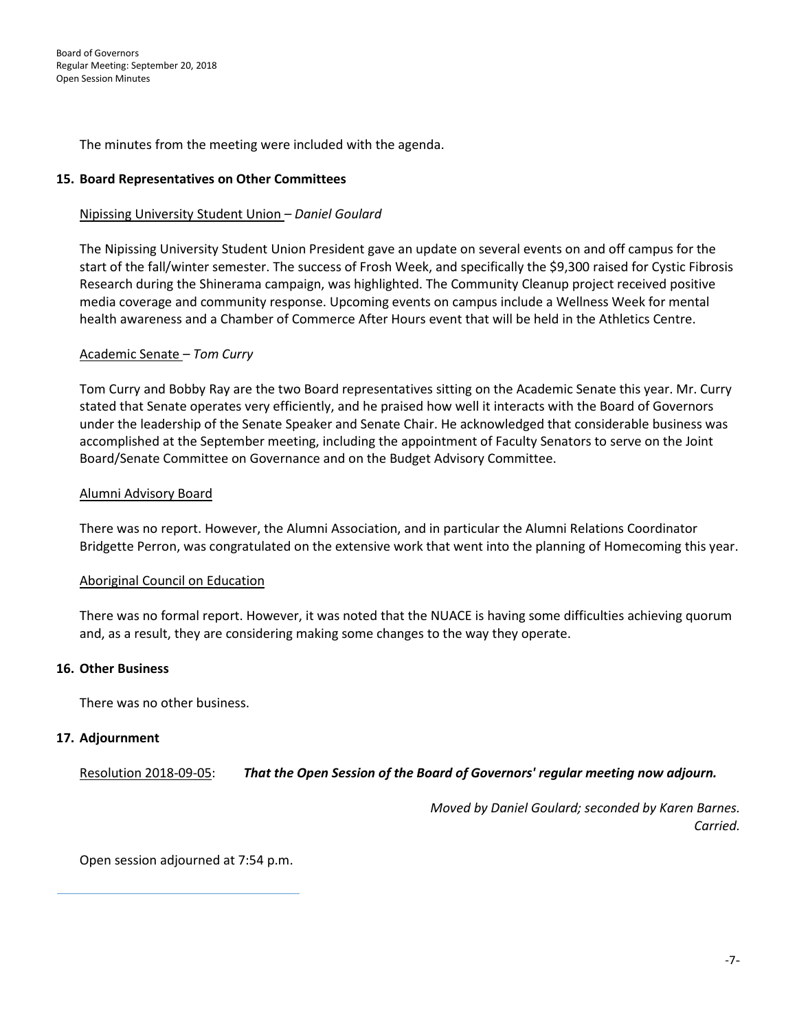The minutes from the meeting were included with the agenda.

#### **15. Board Representatives on Other Committees**

#### Nipissing University Student Union *– Daniel Goulard*

The Nipissing University Student Union President gave an update on several events on and off campus for the start of the fall/winter semester. The success of Frosh Week, and specifically the \$9,300 raised for Cystic Fibrosis Research during the Shinerama campaign, was highlighted. The Community Cleanup project received positive media coverage and community response. Upcoming events on campus include a Wellness Week for mental health awareness and a Chamber of Commerce After Hours event that will be held in the Athletics Centre.

#### Academic Senate *– Tom Curry*

Tom Curry and Bobby Ray are the two Board representatives sitting on the Academic Senate this year. Mr. Curry stated that Senate operates very efficiently, and he praised how well it interacts with the Board of Governors under the leadership of the Senate Speaker and Senate Chair. He acknowledged that considerable business was accomplished at the September meeting, including the appointment of Faculty Senators to serve on the Joint Board/Senate Committee on Governance and on the Budget Advisory Committee.

#### Alumni Advisory Board

There was no report. However, the Alumni Association, and in particular the Alumni Relations Coordinator Bridgette Perron, was congratulated on the extensive work that went into the planning of Homecoming this year.

#### Aboriginal Council on Education

There was no formal report. However, it was noted that the NUACE is having some difficulties achieving quorum and, as a result, they are considering making some changes to the way they operate.

#### **16. Other Business**

There was no other business.

#### **17. Adjournment**

Resolution 2018-09-05: *That the Open Session of the Board of Governors' regular meeting now adjourn.*

*Moved by Daniel Goulard; seconded by Karen Barnes. Carried.*

Open session adjourned at 7:54 p.m.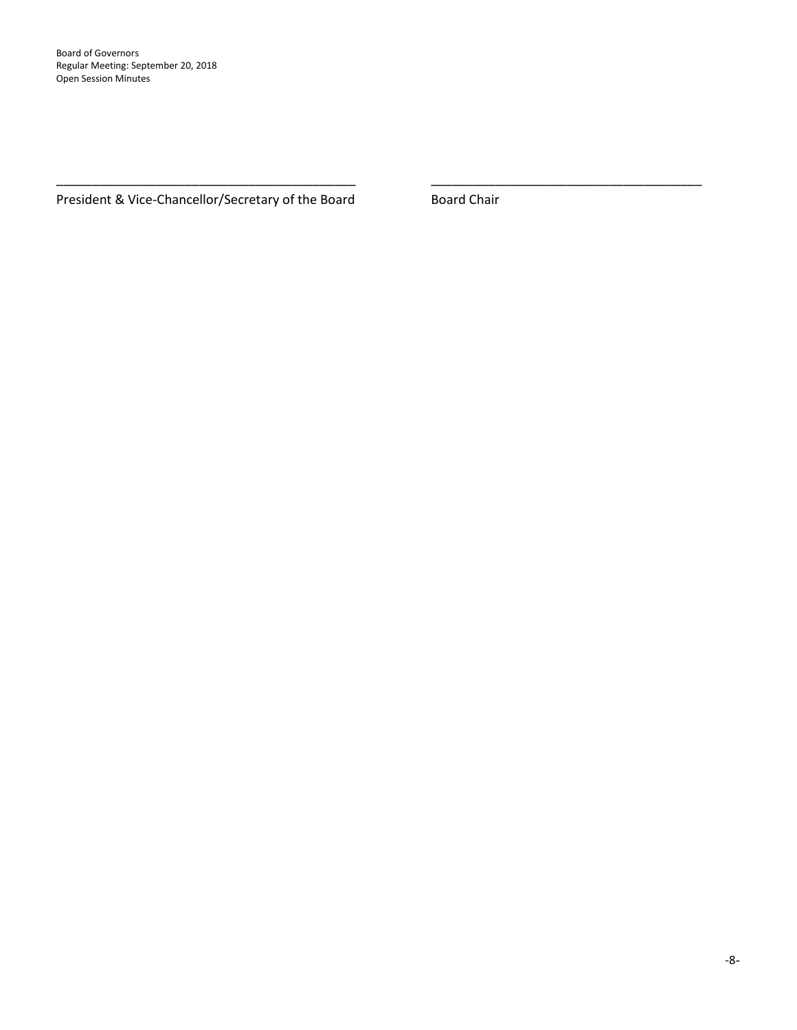Board of Governors Regular Meeting: September 20, 2018 Open Session Minutes

President & Vice-Chancellor/Secretary of the Board **Board Chair** 

\_\_\_\_\_\_\_\_\_\_\_\_\_\_\_\_\_\_\_\_\_\_\_\_\_\_\_\_\_\_\_\_\_\_\_\_\_\_\_\_\_\_ \_\_\_\_\_\_\_\_\_\_\_\_\_\_\_\_\_\_\_\_\_\_\_\_\_\_\_\_\_\_\_\_\_\_\_\_\_\_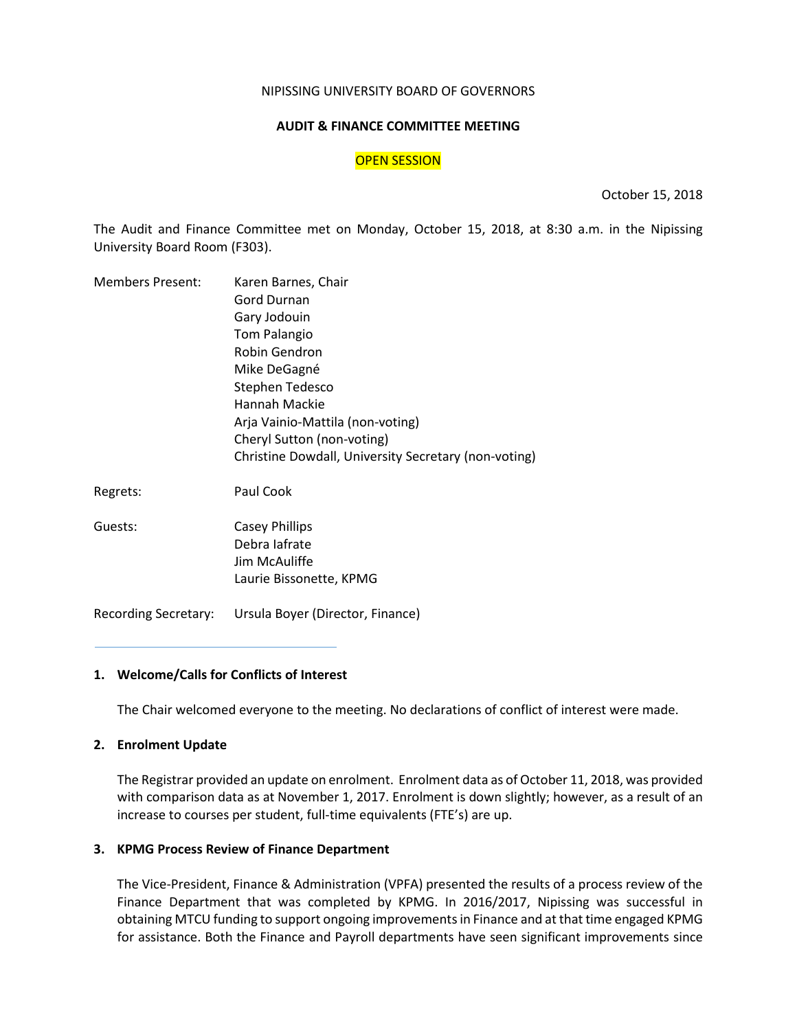#### NIPISSING UNIVERSITY BOARD OF GOVERNORS

#### **AUDIT & FINANCE COMMITTEE MEETING**

#### OPEN SESSION

October 15, 2018

The Audit and Finance Committee met on Monday, October 15, 2018, at 8:30 a.m. in the Nipissing University Board Room (F303).

| <b>Members Present:</b> | Karen Barnes, Chair                                  |
|-------------------------|------------------------------------------------------|
|                         | <b>Gord Durnan</b>                                   |
|                         | Gary Jodouin                                         |
|                         | <b>Tom Palangio</b>                                  |
|                         | Robin Gendron                                        |
|                         | Mike DeGagné                                         |
|                         | Stephen Tedesco                                      |
|                         | Hannah Mackie                                        |
|                         | Arja Vainio-Mattila (non-voting)                     |
|                         | Cheryl Sutton (non-voting)                           |
|                         | Christine Dowdall, University Secretary (non-voting) |
| Regrets:                | Paul Cook                                            |
| Guests:                 | <b>Casey Phillips</b>                                |
|                         | Debra lafrate                                        |
|                         | Jim McAuliffe                                        |
|                         | Laurie Bissonette, KPMG                              |
|                         |                                                      |

Recording Secretary: Ursula Boyer (Director, Finance)

#### **1. Welcome/Calls for Conflicts of Interest**

The Chair welcomed everyone to the meeting. No declarations of conflict of interest were made.

#### **2. Enrolment Update**

The Registrar provided an update on enrolment. Enrolment data as of October 11, 2018, was provided with comparison data as at November 1, 2017. Enrolment is down slightly; however, as a result of an increase to courses per student, full-time equivalents (FTE's) are up.

#### **3. KPMG Process Review of Finance Department**

The Vice-President, Finance & Administration (VPFA) presented the results of a process review of the Finance Department that was completed by KPMG. In 2016/2017, Nipissing was successful in obtaining MTCU funding to support ongoing improvements in Finance and at that time engaged KPMG for assistance. Both the Finance and Payroll departments have seen significant improvements since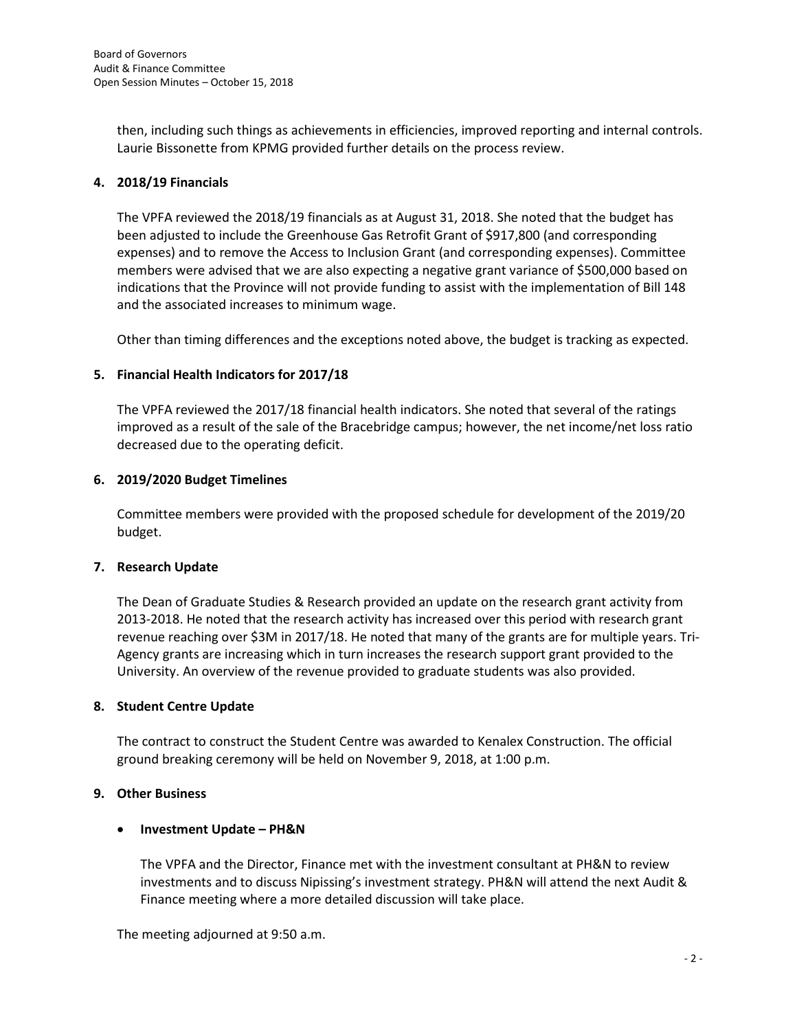then, including such things as achievements in efficiencies, improved reporting and internal controls. Laurie Bissonette from KPMG provided further details on the process review.

## **4. 2018/19 Financials**

The VPFA reviewed the 2018/19 financials as at August 31, 2018. She noted that the budget has been adjusted to include the Greenhouse Gas Retrofit Grant of \$917,800 (and corresponding expenses) and to remove the Access to Inclusion Grant (and corresponding expenses). Committee members were advised that we are also expecting a negative grant variance of \$500,000 based on indications that the Province will not provide funding to assist with the implementation of Bill 148 and the associated increases to minimum wage.

Other than timing differences and the exceptions noted above, the budget is tracking as expected.

## **5. Financial Health Indicators for 2017/18**

The VPFA reviewed the 2017/18 financial health indicators. She noted that several of the ratings improved as a result of the sale of the Bracebridge campus; however, the net income/net loss ratio decreased due to the operating deficit.

## **6. 2019/2020 Budget Timelines**

Committee members were provided with the proposed schedule for development of the 2019/20 budget.

## **7. Research Update**

The Dean of Graduate Studies & Research provided an update on the research grant activity from 2013-2018. He noted that the research activity has increased over this period with research grant revenue reaching over \$3M in 2017/18. He noted that many of the grants are for multiple years. Tri-Agency grants are increasing which in turn increases the research support grant provided to the University. An overview of the revenue provided to graduate students was also provided.

## **8. Student Centre Update**

The contract to construct the Student Centre was awarded to Kenalex Construction. The official ground breaking ceremony will be held on November 9, 2018, at 1:00 p.m.

## **9. Other Business**

## • **Investment Update – PH&N**

The VPFA and the Director, Finance met with the investment consultant at PH&N to review investments and to discuss Nipissing's investment strategy. PH&N will attend the next Audit & Finance meeting where a more detailed discussion will take place.

The meeting adjourned at 9:50 a.m.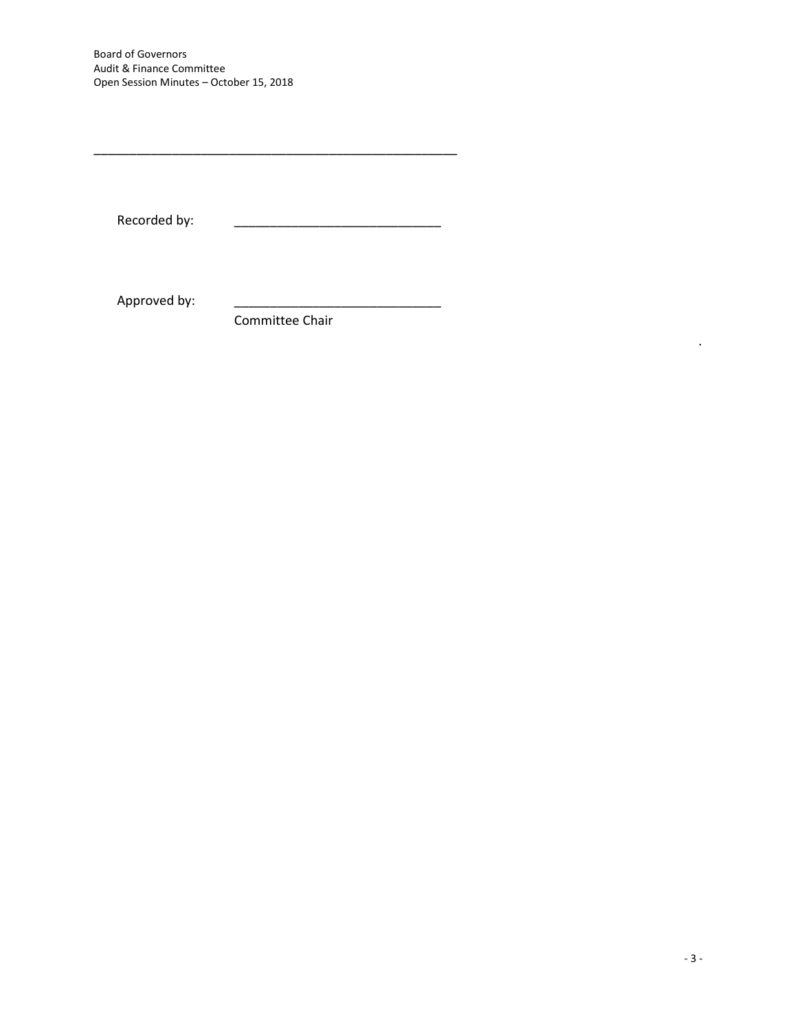Board of Governors Audit & Finance Committee Open Session Minutes – October 15, 2018

Recorded by:

Approved by:

Committee Chair

\_\_\_\_\_\_\_\_\_\_\_\_\_\_\_\_\_\_\_\_\_\_\_\_\_\_\_\_\_\_\_\_\_\_\_\_\_\_\_\_\_\_\_\_\_\_\_\_\_\_\_

*.*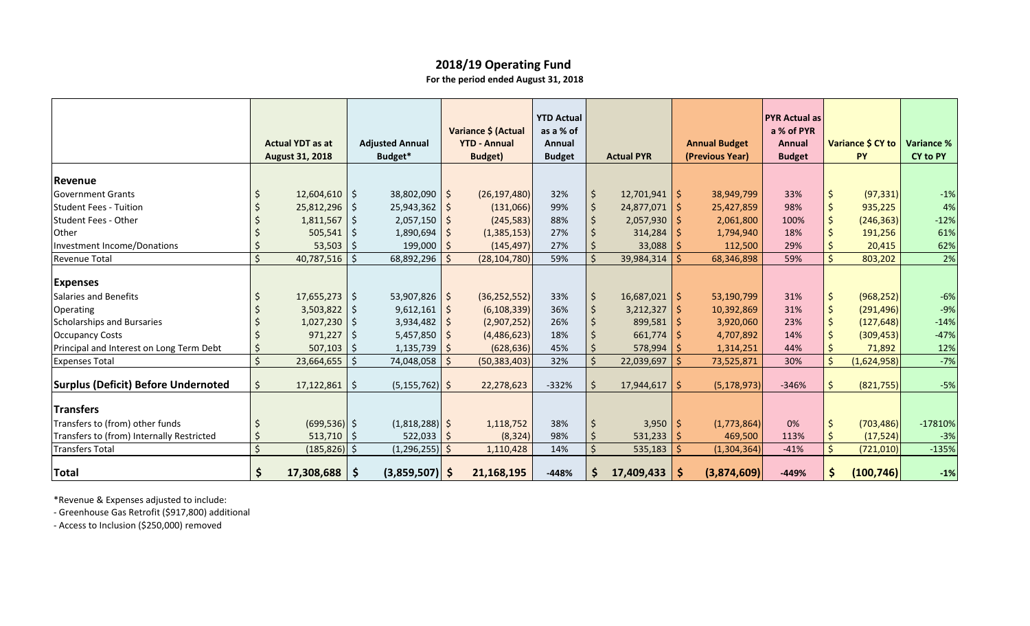|                                            |         |                         |              |                         |            |                     | <b>YTD Actual</b> |     |                   |                      | <b>PYR Actual as</b> |              |                   |                   |
|--------------------------------------------|---------|-------------------------|--------------|-------------------------|------------|---------------------|-------------------|-----|-------------------|----------------------|----------------------|--------------|-------------------|-------------------|
|                                            |         |                         |              |                         |            | Variance \$ (Actual | as a % of         |     |                   |                      | a % of PYR           |              |                   |                   |
|                                            |         | <b>Actual YDT as at</b> |              | <b>Adjusted Annual</b>  |            | <b>YTD - Annual</b> | Annual            |     |                   | <b>Annual Budget</b> | <b>Annual</b>        |              | Variance \$ CY to | <b>Variance %</b> |
|                                            |         | <b>August 31, 2018</b>  |              | Budget*                 |            | <b>Budget</b> )     | <b>Budget</b>     |     | <b>Actual PYR</b> | (Previous Year)      | <b>Budget</b>        |              | <b>PY</b>         | CY to PY          |
| Revenue                                    |         |                         |              |                         |            |                     |                   |     |                   |                      |                      |              |                   |                   |
| Government Grants                          |         | 12,604,610              | $\varsigma$  | $38,802,090$ \$         |            | (26, 197, 480)      | 32%               | -\$ | $12,701,941$ \$   | 38,949,799           | 33%                  |              | (97, 331)         | $-1%$             |
| <b>Student Fees - Tuition</b>              |         | 25,812,296              | \$           | $25,943,362$ \$         |            | (131,066)           | 99%               |     | 24,877,071        | 25,427,859           | 98%                  |              | 935,225           | 4%                |
| Student Fees - Other                       |         | 1,811,567               |              | $2,057,150$ \$          |            | (245, 583)          | 88%               |     | $2,057,930$   \$  | 2,061,800            | 100%                 |              | (246, 363)        | $-12%$            |
| <b>Other</b>                               |         | 505,541                 |              | 1,890,694               |            | (1,385,153)         | 27%               |     | 314,284           | 1,794,940            | 18%                  |              | 191,256           | 61%               |
| Investment Income/Donations                |         | 53,503                  |              | $199,000$   \$          |            | (145, 497)          | 27%               |     | 33,088            | 112,500              | 29%                  | <sup>S</sup> | 20,415            | 62%               |
| Revenue Total                              | $\zeta$ | 40,787,516              | Ś.           | 68,892,296              | -Ŝ         | (28, 104, 780)      | 59%               |     | 39,984,314        | 68,346,898           | 59%                  |              | 803,202           | 2%                |
| <b>Expenses</b>                            |         |                         |              |                         |            |                     |                   |     |                   |                      |                      |              |                   |                   |
| Salaries and Benefits                      |         | 17,655,273              | \$           | 53,907,826   \$         |            | (36, 252, 552)      | 33%               | \$  | $16,687,021$ \$   | 53,190,799           | 31%                  | $\varsigma$  | (968, 252)        | $-6%$             |
| Operating                                  |         | 3,503,822               |              | 9,612,161               | $\sqrt{S}$ | (6, 108, 339)       | 36%               |     | 3,212,327         | 10,392,869           | 31%                  | $\zeta$      | (291, 496)        | $-9%$             |
| Scholarships and Bursaries                 |         | 1,027,230               |              | $3,934,482$ \$          |            | (2,907,252)         | 26%               |     | 899,581           | 3,920,060            | 23%                  |              | (127, 648)        | $-14%$            |
| <b>Occupancy Costs</b>                     |         | 971,227                 |              | 5,457,850 $\frac{1}{5}$ |            | (4,486,623)         | 18%               |     | 661,774           | 4,707,892            | 14%                  |              | (309, 453)        | $-47%$            |
| Principal and Interest on Long Term Debt   |         | 507,103                 |              | $1,135,739$ \$          |            | (628, 636)          | 45%               |     | 578,994           | 1,314,251            | 44%                  |              | 71,892            | 12%               |
| <b>Expenses Total</b>                      |         | 23,664,655              | Ś.           | 74,048,058              | Ŝ.         | (50, 383, 403)      | 32%               |     | 22,039,697        | 73,525,871           | 30%                  | Ś            | (1,624,958)       | $-7%$             |
| <b>Surplus (Deficit) Before Undernoted</b> | \$      | 17,122,861              | $\zeta$      | $(5, 155, 762)$ \$      |            | 22,278,623          | $-332%$           |     | $17,944,617$ \$   | (5, 178, 973)        | $-346%$              | $\mathsf{S}$ | (821,755)         | $-5%$             |
| <b>Transfers</b>                           |         |                         |              |                         |            |                     |                   |     |                   |                      |                      |              |                   |                   |
| Transfers to (from) other funds            |         | $(699, 536)$ \$         |              | $(1,818,288)$ \$        |            | 1,118,752           | 38%               |     | $3,950$ \$        | (1,773,864)          | 0%                   | $\varsigma$  | (703, 486)        | $-17810%$         |
| Transfers to (from) Internally Restricted  |         | 513,710                 | \$           | $522,033$ \$            |            | (8, 324)            | 98%               |     | $531,233$   \$    | 469,500              | 113%                 | $\mathsf{S}$ | (17, 524)         | $-3%$             |
| Transfers Total                            | $\zeta$ | (185, 826)              | $\zeta$      | $(1,296,255)$ \$        |            | 1,110,428           | 14%               |     | 535,183           | (1,304,364)          | $-41%$               | $\mathsf{S}$ | (721,010)         | $-135%$           |
| Total                                      | \$      | 17,308,688              | $\mathsf{S}$ | $(3,859,507)$ \$        |            | 21,168,195          | $-448%$           |     | 17,409,433        | (3,874,609)          | $-449%$              |              | (100, 746)        | $-1%$             |

\*Revenue & Expenses adjusted to include:

- Greenhouse Gas Retrofit (\$917,800) additional

- Access to Inclusion (\$250,000) removed

# **2018/19 Operating Fund**

**For the period ended August 31, 2018**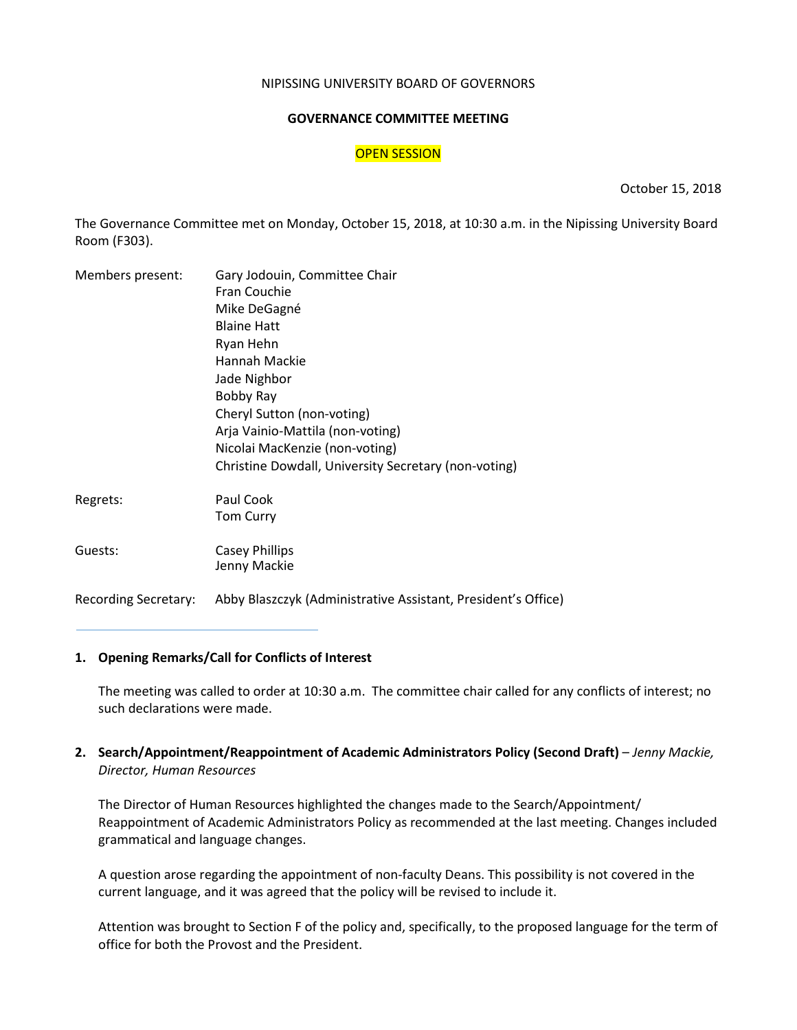#### NIPISSING UNIVERSITY BOARD OF GOVERNORS

#### **GOVERNANCE COMMITTEE MEETING**

### OPEN SESSION

October 15, 2018

The Governance Committee met on Monday, October 15, 2018, at 10:30 a.m. in the Nipissing University Board Room (F303).

| Members present: | Gary Jodouin, Committee Chair                        |  |  |  |  |
|------------------|------------------------------------------------------|--|--|--|--|
|                  | Fran Couchie                                         |  |  |  |  |
|                  | Mike DeGagné                                         |  |  |  |  |
|                  | <b>Blaine Hatt</b>                                   |  |  |  |  |
|                  | Ryan Hehn                                            |  |  |  |  |
|                  | Hannah Mackie                                        |  |  |  |  |
|                  | Jade Nighbor                                         |  |  |  |  |
|                  | Bobby Ray                                            |  |  |  |  |
|                  | Cheryl Sutton (non-voting)                           |  |  |  |  |
|                  | Arja Vainio-Mattila (non-voting)                     |  |  |  |  |
|                  | Nicolai MacKenzie (non-voting)                       |  |  |  |  |
|                  | Christine Dowdall, University Secretary (non-voting) |  |  |  |  |
| Regrets:         | Paul Cook                                            |  |  |  |  |
|                  | <b>Tom Curry</b>                                     |  |  |  |  |
| Guests:          | <b>Casey Phillips</b><br>Jenny Mackie                |  |  |  |  |
|                  |                                                      |  |  |  |  |

Recording Secretary: Abby Blaszczyk (Administrative Assistant, President's Office)

## **1. Opening Remarks/Call for Conflicts of Interest**

The meeting was called to order at 10:30 a.m. The committee chair called for any conflicts of interest; no such declarations were made.

**2. Search/Appointment/Reappointment of Academic Administrators Policy (Second Draft)** – *Jenny Mackie, Director, Human Resources*

The Director of Human Resources highlighted the changes made to the Search/Appointment/ Reappointment of Academic Administrators Policy as recommended at the last meeting. Changes included grammatical and language changes.

A question arose regarding the appointment of non-faculty Deans. This possibility is not covered in the current language, and it was agreed that the policy will be revised to include it.

Attention was brought to Section F of the policy and, specifically, to the proposed language for the term of office for both the Provost and the President.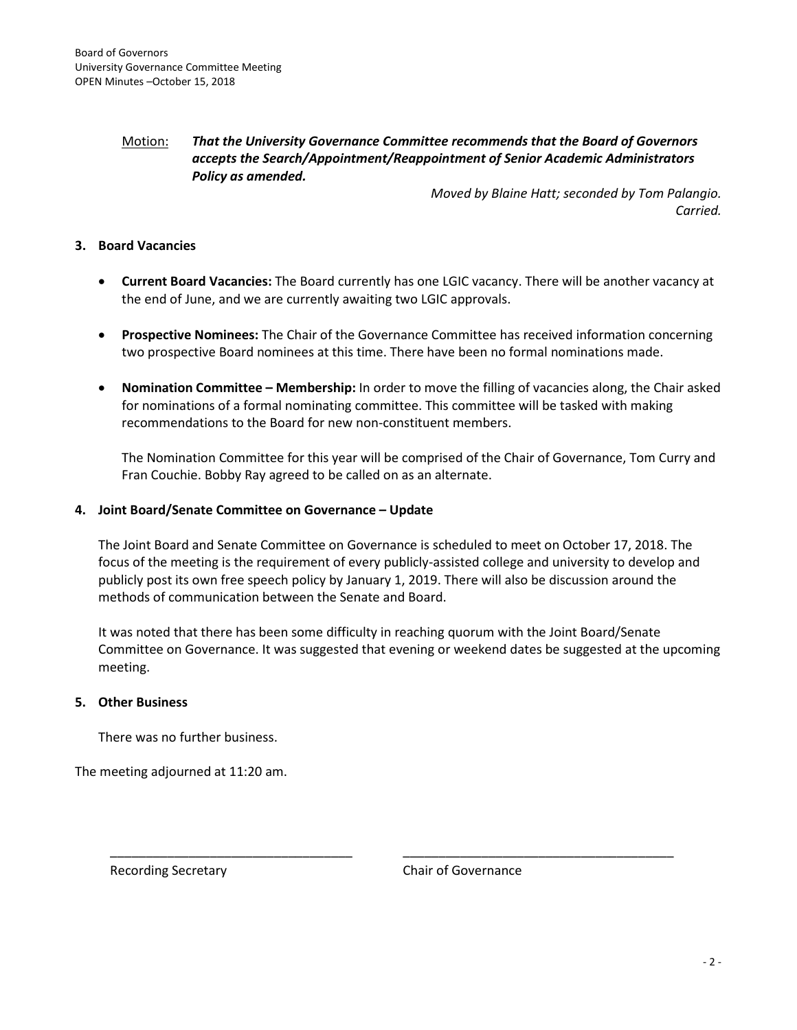## Motion: *That the University Governance Committee recommends that the Board of Governors accepts the Search/Appointment/Reappointment of Senior Academic Administrators Policy as amended.*

*Moved by Blaine Hatt; seconded by Tom Palangio. Carried.*

## **3. Board Vacancies**

- **Current Board Vacancies:** The Board currently has one LGIC vacancy. There will be another vacancy at the end of June, and we are currently awaiting two LGIC approvals.
- **Prospective Nominees:** The Chair of the Governance Committee has received information concerning two prospective Board nominees at this time. There have been no formal nominations made.
- **Nomination Committee – Membership:** In order to move the filling of vacancies along, the Chair asked for nominations of a formal nominating committee. This committee will be tasked with making recommendations to the Board for new non-constituent members.

The Nomination Committee for this year will be comprised of the Chair of Governance, Tom Curry and Fran Couchie. Bobby Ray agreed to be called on as an alternate.

#### **4. Joint Board/Senate Committee on Governance – Update**

The Joint Board and Senate Committee on Governance is scheduled to meet on October 17, 2018. The focus of the meeting is the requirement of every publicly-assisted college and university to develop and publicly post its own free speech policy by January 1, 2019. There will also be discussion around the methods of communication between the Senate and Board.

It was noted that there has been some difficulty in reaching quorum with the Joint Board/Senate Committee on Governance. It was suggested that evening or weekend dates be suggested at the upcoming meeting.

\_\_\_\_\_\_\_\_\_\_\_\_\_\_\_\_\_\_\_\_\_\_\_\_\_\_\_\_\_\_\_\_\_\_ \_\_\_\_\_\_\_\_\_\_\_\_\_\_\_\_\_\_\_\_\_\_\_\_\_\_\_\_\_\_\_\_\_\_\_\_\_\_

#### **5. Other Business**

There was no further business.

The meeting adjourned at 11:20 am.

Recording Secretary **Chair of Governance**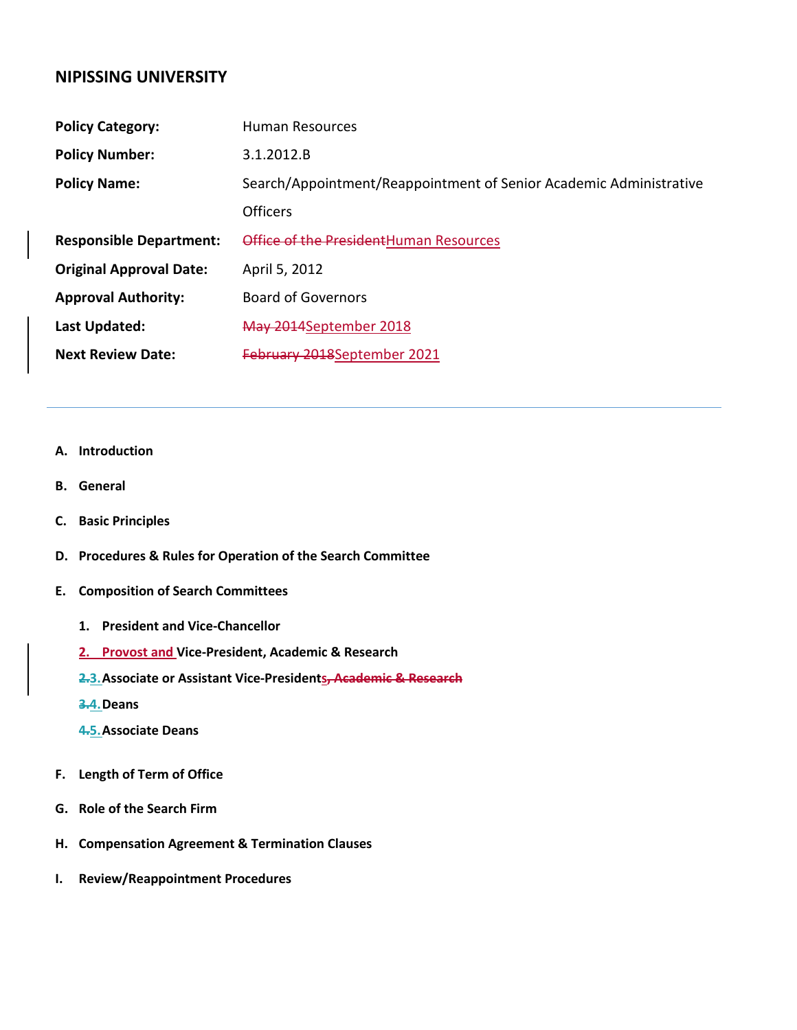## **NIPISSING UNIVERSITY**

| <b>Policy Category:</b>        | <b>Human Resources</b>                                             |
|--------------------------------|--------------------------------------------------------------------|
| <b>Policy Number:</b>          | 3.1.2012.B                                                         |
| <b>Policy Name:</b>            | Search/Appointment/Reappointment of Senior Academic Administrative |
|                                | Officers                                                           |
| <b>Responsible Department:</b> | Office of the President Human Resources                            |
| <b>Original Approval Date:</b> | April 5, 2012                                                      |
| <b>Approval Authority:</b>     | <b>Board of Governors</b>                                          |
| Last Updated:                  | May 2014September 2018                                             |
| <b>Next Review Date:</b>       | February 2018September 2021                                        |

#### **A. Introduction**

- **B. General**
- **C. Basic Principles**
- **D. Procedures & Rules for Operation of the Search Committee**
- **E. Composition of Search Committees**
	- **1. President and Vice-Chancellor**
	- **2. Provost and Vice-President, Academic & Research**
	- **2.3.Associate or Assistant Vice-Presidents, Academic & Research**
	- **3.4.Deans**
	- **4.5.Associate Deans**
- **F. Length of Term of Office**
- **G. Role of the Search Firm**
- **H. Compensation Agreement & Termination Clauses**
- **I. Review/Reappointment Procedures**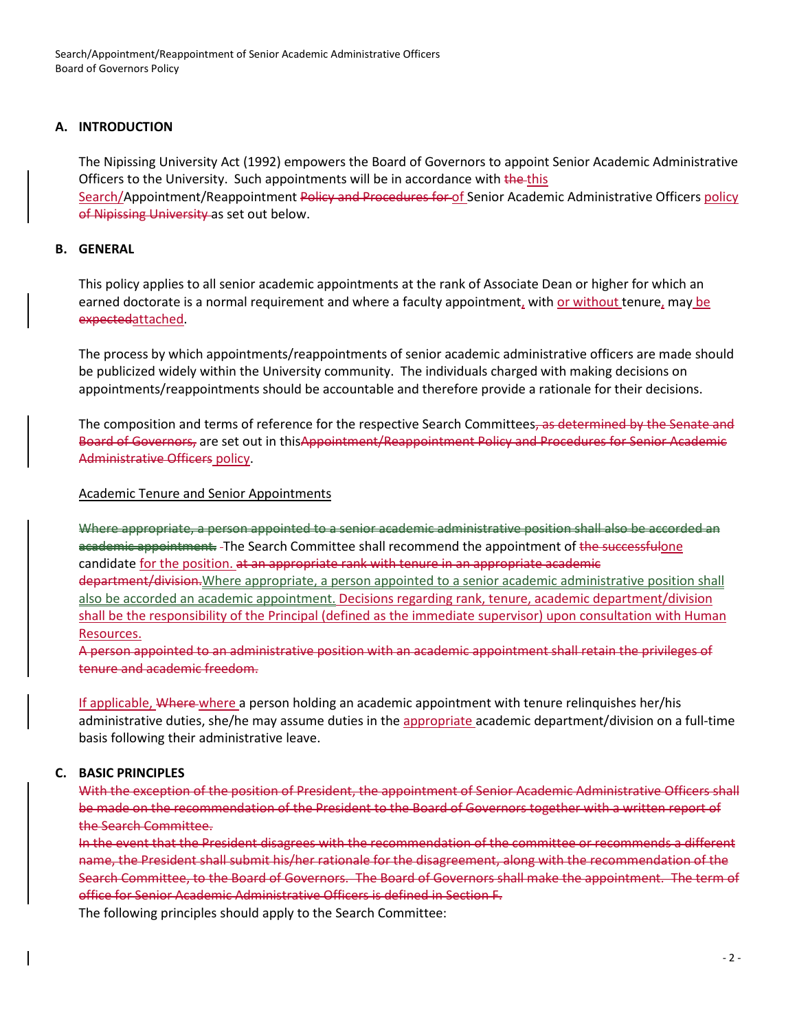Search/Appointment/Reappointment of Senior Academic Administrative Officers Board of Governors Policy

## **A. INTRODUCTION**

The Nipissing University Act (1992) empowers the Board of Governors to appoint Senior Academic Administrative Officers to the University. Such appointments will be in accordance with the this Search/Appointment/Reappointment Policy and Procedures for of Senior Academic Administrative Officers policy of Nipissing University as set out below.

## **B. GENERAL**

This policy applies to all senior academic appointments at the rank of Associate Dean or higher for which an earned doctorate is a normal requirement and where a faculty appointment, with or without tenure, may be expectedattached.

The process by which appointments/reappointments of senior academic administrative officers are made should be publicized widely within the University community. The individuals charged with making decisions on appointments/reappointments should be accountable and therefore provide a rationale for their decisions.

The composition and terms of reference for the respective Search Committees, as determined by the Senate and Board of Governors, are set out in thisAppointment/Reappointment Policy and Procedures for Senior Academic Administrative Officers policy.

## Academic Tenure and Senior Appointments

Where appropriate, a person appointed to a senior academic administrative position shall also be accorded an academic appointment. The Search Committee shall recommend the appointment of the successfulone candidate for the position. at an appropriate rank with tenure in an appropriate academic department/division.Where appropriate, a person appointed to a senior academic administrative position shall also be accorded an academic appointment. Decisions regarding rank, tenure, academic department/division shall be the responsibility of the Principal (defined as the immediate supervisor) upon consultation with Human Resources.

A person appointed to an administrative position with an academic appointment shall retain the privileges of tenure and academic freedom.

If applicable, Where where a person holding an academic appointment with tenure relinquishes her/his administrative duties, she/he may assume duties in the appropriate academic department/division on a full-time basis following their administrative leave.

## **C. BASIC PRINCIPLES**

With the exception of the position of President, the appointment of Senior Academic Administrative Officers shall be made on the recommendation of the President to the Board of Governors together with a written report of the Search Committee.

In the event that the President disagrees with the recommendation of the committee or recommends a different name, the President shall submit his/her rationale for the disagreement, along with the recommendation of the Search Committee, to the Board of Governors. The Board of Governors shall make the appointment. The term of office for Senior Academic Administrative Officers is defined in Section F.

The following principles should apply to the Search Committee: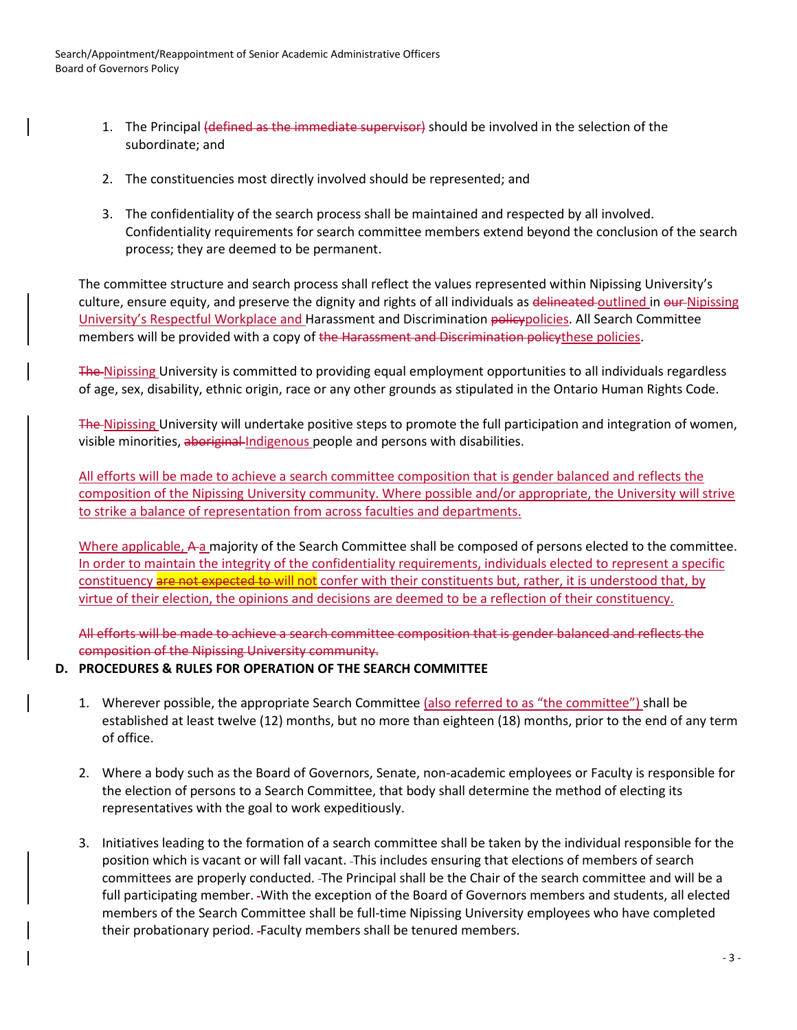- 1. The Principal (defined as the immediate supervisor) should be involved in the selection of the subordinate; and
- 2. The constituencies most directly involved should be represented; and
- 3. The confidentiality of the search process shall be maintained and respected by all involved. Confidentiality requirements for search committee members extend beyond the conclusion of the search process; they are deemed to be permanent.

The committee structure and search process shall reflect the values represented within Nipissing University's culture, ensure equity, and preserve the dignity and rights of all individuals as delineated outlined in our Nipissing University's Respectful Workplace and Harassment and Discrimination policypolicies. All Search Committee members will be provided with a copy of the Harassment and Discrimination policythese policies.

The Nipissing University is committed to providing equal employment opportunities to all individuals regardless of age, sex, disability, ethnic origin, race or any other grounds as stipulated in the Ontario Human Rights Code.

The Nipissing University will undertake positive steps to promote the full participation and integration of women, visible minorities, aboriginal Indigenous people and persons with disabilities.

All efforts will be made to achieve a search committee composition that is gender balanced and reflects the composition of the Nipissing University community. Where possible and/or appropriate, the University will strive to strike a balance of representation from across faculties and departments.

Where applicable, A a majority of the Search Committee shall be composed of persons elected to the committee. In order to maintain the integrity of the confidentiality requirements, individuals elected to represent a specific constituency are not expected to will not confer with their constituents but, rather, it is understood that, by virtue of their election, the opinions and decisions are deemed to be a reflection of their constituency.

All efforts will be made to achieve a search committee composition that is gender balanced and reflects the composition of the Nipissing University community.

## **D. PROCEDURES & RULES FOR OPERATION OF THE SEARCH COMMITTEE**

- 1. Wherever possible, the appropriate Search Committee (also referred to as "the committee") shall be established at least twelve (12) months, but no more than eighteen (18) months, prior to the end of any term of office.
- 2. Where a body such as the Board of Governors, Senate, non-academic employees or Faculty is responsible for the election of persons to a Search Committee, that body shall determine the method of electing its representatives with the goal to work expeditiously.
- 3. Initiatives leading to the formation of a search committee shall be taken by the individual responsible for the position which is vacant or will fall vacant. This includes ensuring that elections of members of search committees are properly conducted. The Principal shall be the Chair of the search committee and will be a full participating member. -With the exception of the Board of Governors members and students, all elected members of the Search Committee shall be full-time Nipissing University employees who have completed their probationary period. Faculty members shall be tenured members.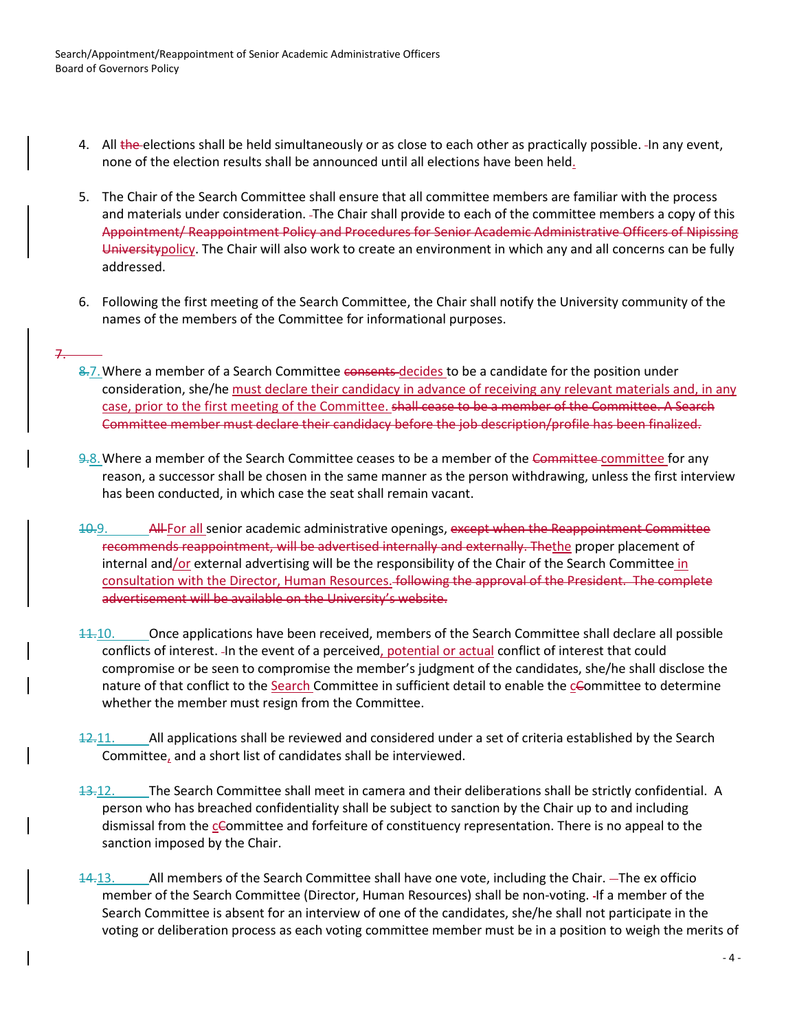7.

- 4. All the elections shall be held simultaneously or as close to each other as practically possible. In any event, none of the election results shall be announced until all elections have been held.
- 5. The Chair of the Search Committee shall ensure that all committee members are familiar with the process and materials under consideration. The Chair shall provide to each of the committee members a copy of this Appointment/ Reappointment Policy and Procedures for Senior Academic Administrative Officers of Nipissing Universitypolicy. The Chair will also work to create an environment in which any and all concerns can be fully addressed.
- 6. Following the first meeting of the Search Committee, the Chair shall notify the University community of the names of the members of the Committee for informational purposes.
- 8.7. Where a member of a Search Committee consents decides to be a candidate for the position under consideration, she/he must declare their candidacy in advance of receiving any relevant materials and, in any case, prior to the first meeting of the Committee. shall cease to be a member of the Committee. A Search Committee member must declare their candidacy before the job description/profile has been finalized.
- 9.8.Where a member of the Search Committee ceases to be a member of the Committee committee for any reason, a successor shall be chosen in the same manner as the person withdrawing, unless the first interview has been conducted, in which case the seat shall remain vacant.
- 10.9. All For all senior academic administrative openings, except when the Reappointment Committee recommends reappointment, will be advertised internally and externally. The the proper placement of internal and/or external advertising will be the responsibility of the Chair of the Search Committee in consultation with the Director, Human Resources. following the approval of the President. The complete advertisement will be available on the University's website.
- 11.10. Once applications have been received, members of the Search Committee shall declare all possible conflicts of interest. In the event of a perceived, potential or actual conflict of interest that could compromise or be seen to compromise the member's judgment of the candidates, she/he shall disclose the nature of that conflict to the Search Committee in sufficient detail to enable the cCommittee to determine whether the member must resign from the Committee.
- 12.11. All applications shall be reviewed and considered under a set of criteria established by the Search Committee, and a short list of candidates shall be interviewed.
- 13.12. The Search Committee shall meet in camera and their deliberations shall be strictly confidential. A person who has breached confidentiality shall be subject to sanction by the Chair up to and including dismissal from the cCommittee and forfeiture of constituency representation. There is no appeal to the sanction imposed by the Chair.
- 14.13. All members of the Search Committee shall have one vote, including the Chair. The ex officio member of the Search Committee (Director, Human Resources) shall be non-voting. If a member of the Search Committee is absent for an interview of one of the candidates, she/he shall not participate in the voting or deliberation process as each voting committee member must be in a position to weigh the merits of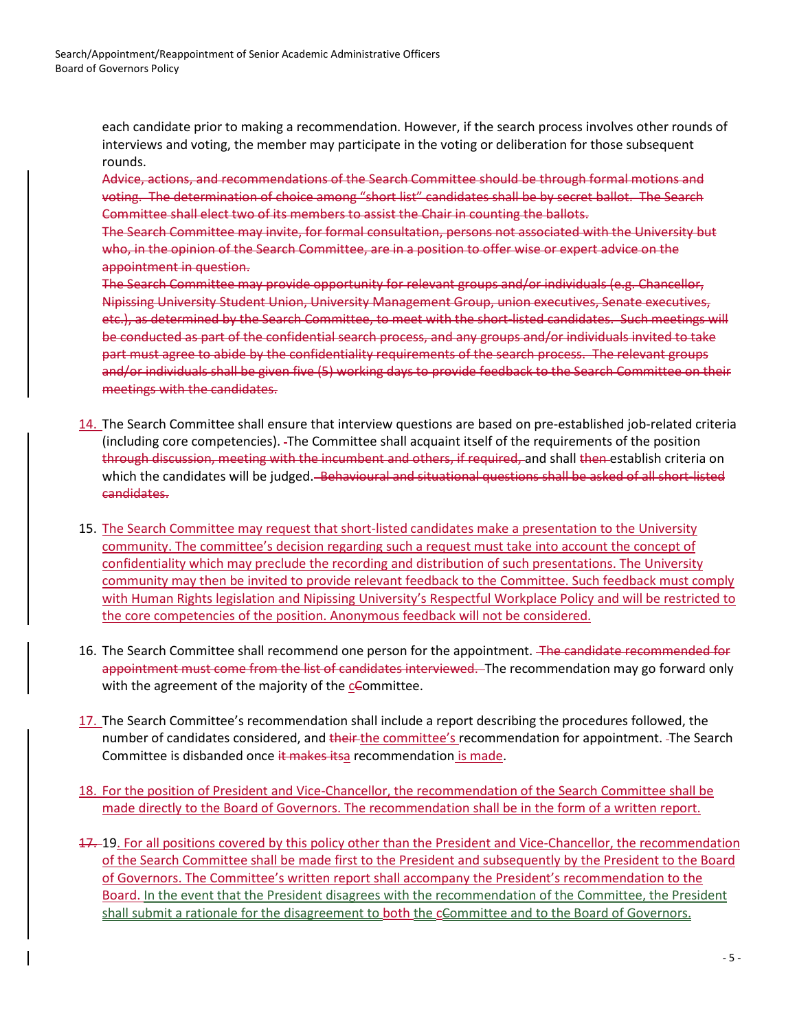each candidate prior to making a recommendation. However, if the search process involves other rounds of interviews and voting, the member may participate in the voting or deliberation for those subsequent rounds.

Advice, actions, and recommendations of the Search Committee should be through formal motions and voting. The determination of choice among "short list" candidates shall be by secret ballot. The Search Committee shall elect two of its members to assist the Chair in counting the ballots.

The Search Committee may invite, for formal consultation, persons not associated with the University but who, in the opinion of the Search Committee, are in a position to offer wise or expert advice on the appointment in question.

The Search Committee may provide opportunity for relevant groups and/or individuals (e.g. Chancellor, Nipissing University Student Union, University Management Group, union executives, Senate executives, etc.), as determined by the Search Committee, to meet with the short-listed candidates. Such meetings will be conducted as part of the confidential search process, and any groups and/or individuals invited to take part must agree to abide by the confidentiality requirements of the search process. The relevant groups and/or individuals shall be given five (5) working days to provide feedback to the Search Committee on their meetings with the candidates.

- 14. The Search Committee shall ensure that interview questions are based on pre-established job-related criteria (including core competencies). The Committee shall acquaint itself of the requirements of the position through discussion, meeting with the incumbent and others, if required, and shall then establish criteria on which the candidates will be judged. Behavioural and situational questions shall be asked of all short-listed candidates.
- 15. The Search Committee may request that short-listed candidates make a presentation to the University community. The committee's decision regarding such a request must take into account the concept of confidentiality which may preclude the recording and distribution of such presentations. The University community may then be invited to provide relevant feedback to the Committee. Such feedback must comply with Human Rights legislation and Nipissing University's Respectful Workplace Policy and will be restricted to the core competencies of the position. Anonymous feedback will not be considered.
- 16. The Search Committee shall recommend one person for the appointment. The candidate recommended for appointment must come from the list of candidates interviewed. The recommendation may go forward only with the agreement of the majority of the  $c$ Committee.
- 17. The Search Committee's recommendation shall include a report describing the procedures followed, the number of candidates considered, and their-the committee's recommendation for appointment. -The Search Committee is disbanded once it makes itsa recommendation is made.
- 18. For the position of President and Vice-Chancellor, the recommendation of the Search Committee shall be made directly to the Board of Governors. The recommendation shall be in the form of a written report.
- 17. 19. For all positions covered by this policy other than the President and Vice-Chancellor, the recommendation of the Search Committee shall be made first to the President and subsequently by the President to the Board of Governors. The Committee's written report shall accompany the President's recommendation to the Board. In the event that the President disagrees with the recommendation of the Committee, the President shall submit a rationale for the disagreement to both the cCommittee and to the Board of Governors.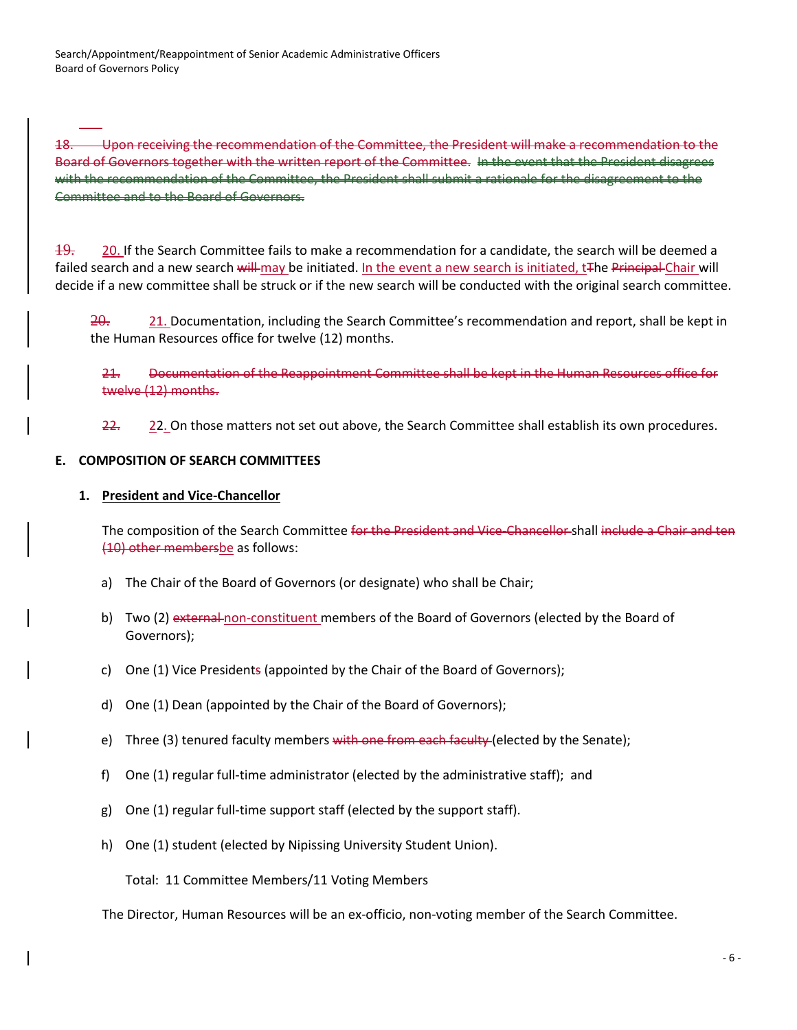18. Upon receiving the recommendation of the Committee, the President will make a recommendation to the Board of Governors together with the written report of the Committee. In the event that the President disagrees with the recommendation of the Committee, the President shall submit a rationale for the disagreement to the Committee and to the Board of Governors.

19. 20. If the Search Committee fails to make a recommendation for a candidate, the search will be deemed a failed search and a new search will may be initiated. In the event a new search is initiated, t<sub>The Principal</sub> Chair will decide if a new committee shall be struck or if the new search will be conducted with the original search committee.

 $\frac{20}{10}$ . 21. Documentation, including the Search Committee's recommendation and report, shall be kept in the Human Resources office for twelve (12) months.

21. Documentation of the Reappointment Committee shall be kept in the Human Resources office for twelve (12) months.

22. 22. On those matters not set out above, the Search Committee shall establish its own procedures.

## **E. COMPOSITION OF SEARCH COMMITTEES**

## **1. President and Vice-Chancellor**

The composition of the Search Committee for the President and Vice-Chancellor shall include a Chair and ten (10) other membersbe as follows:

- a) The Chair of the Board of Governors (or designate) who shall be Chair;
- b) Two (2) external non-constituent members of the Board of Governors (elected by the Board of Governors);
- c) One (1) Vice Presidents (appointed by the Chair of the Board of Governors);
- d) One (1) Dean (appointed by the Chair of the Board of Governors);
- e) Three (3) tenured faculty members with one from each faculty (elected by the Senate);
- f) One (1) regular full-time administrator (elected by the administrative staff); and
- g) One (1) regular full-time support staff (elected by the support staff).
- h) One (1) student (elected by Nipissing University Student Union).

Total: 11 Committee Members/11 Voting Members

The Director, Human Resources will be an ex-officio, non-voting member of the Search Committee.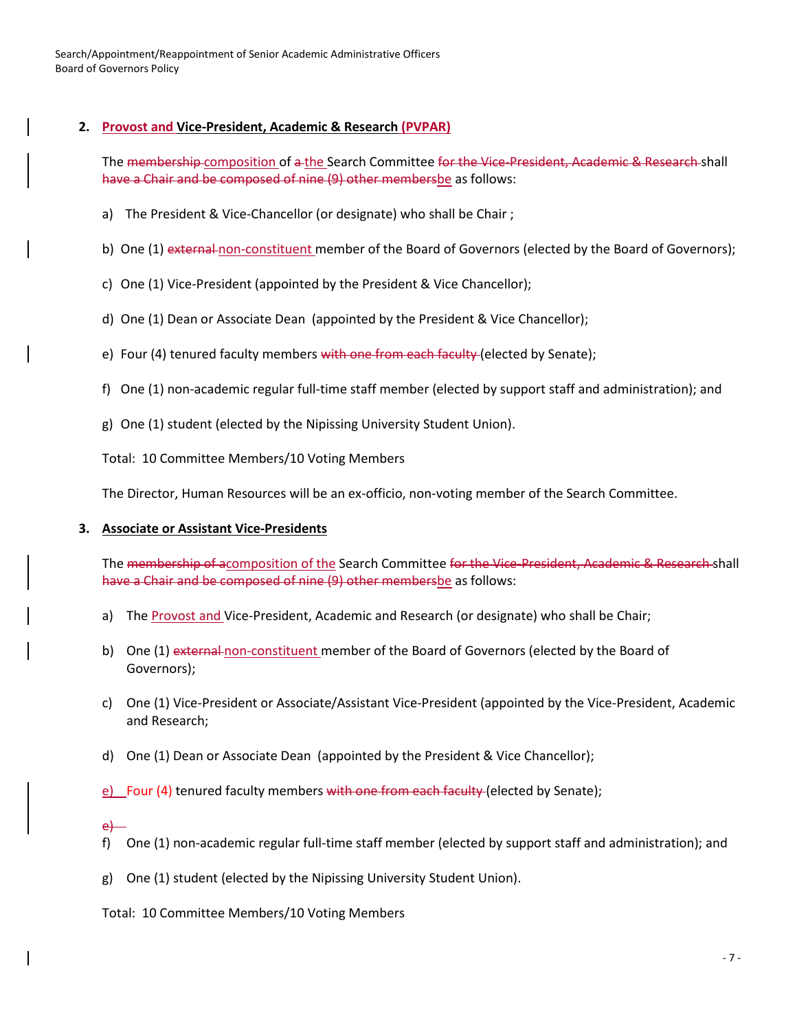Search/Appointment/Reappointment of Senior Academic Administrative Officers Board of Governors Policy

### **2. Provost and Vice-President, Academic & Research (PVPAR)**

The membership composition of a the Search Committee for the Vice-President, Academic & Research shall have a Chair and be composed of nine (9) other membersbe as follows:

- a) The President & Vice-Chancellor (or designate) who shall be Chair ;
- b) One (1) external non-constituent member of the Board of Governors (elected by the Board of Governors);
- c) One (1) Vice-President (appointed by the President & Vice Chancellor);
- d) One (1) Dean or Associate Dean (appointed by the President & Vice Chancellor);
- e) Four (4) tenured faculty members with one from each faculty (elected by Senate);
- f) One (1) non-academic regular full-time staff member (elected by support staff and administration); and
- g) One (1) student (elected by the Nipissing University Student Union).
- Total: 10 Committee Members/10 Voting Members

The Director, Human Resources will be an ex-officio, non-voting member of the Search Committee.

#### **3. Associate or Assistant Vice-Presidents**

The membership of acomposition of the Search Committee for the Vice-President, Academic & Research shall have a Chair and be composed of nine (9) other membersbe as follows:

- a) The Provost and Vice-President, Academic and Research (or designate) who shall be Chair;
- b) One (1) external non-constituent member of the Board of Governors (elected by the Board of Governors);
- c) One (1) Vice-President or Associate/Assistant Vice-President (appointed by the Vice-President, Academic and Research;
- d) One (1) Dean or Associate Dean (appointed by the President & Vice Chancellor);

e) Four (4) tenured faculty members with one from each faculty (elected by Senate);

#### e)

- f) One (1) non-academic regular full-time staff member (elected by support staff and administration); and
- g) One (1) student (elected by the Nipissing University Student Union).
- Total: 10 Committee Members/10 Voting Members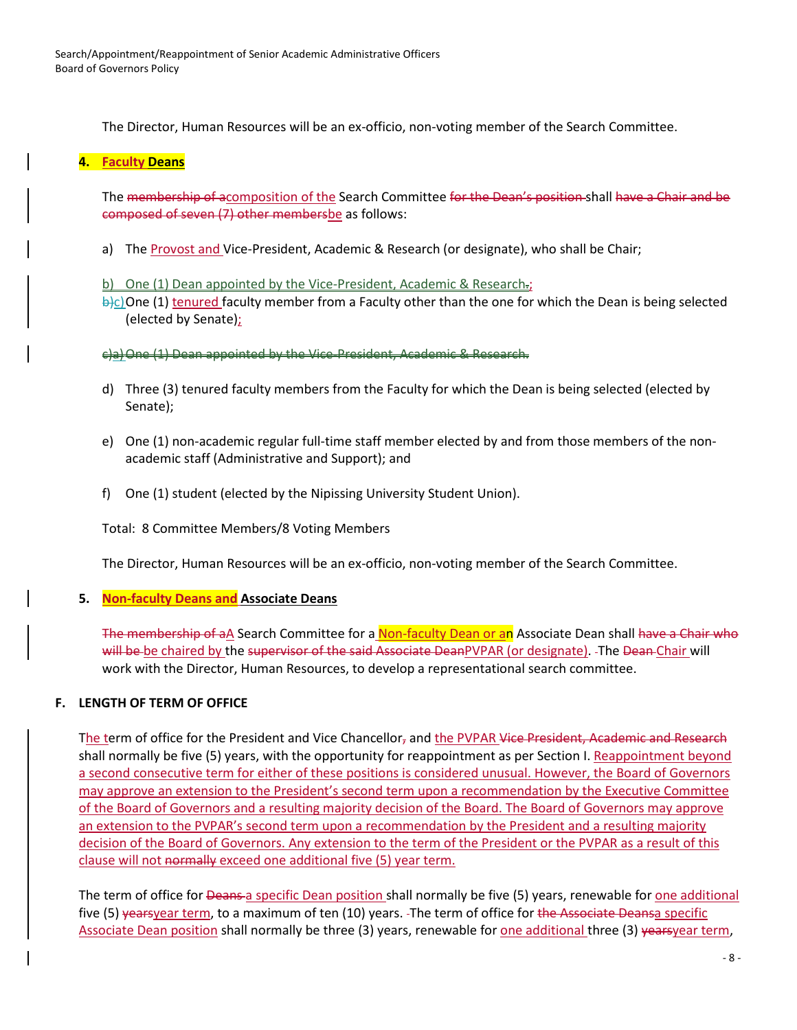The Director, Human Resources will be an ex-officio, non-voting member of the Search Committee.

## **4. Faculty Deans**

The membership of acomposition of the Search Committee for the Dean's position shall have a Chair and be composed of seven (7) other membersbe as follows:

a) The Provost and Vice-President, Academic & Research (or designate), who shall be Chair;

b) One (1) Dean appointed by the Vice-President, Academic & Research.;

 $\frac{b}{c}$ One (1) tenured faculty member from a Faculty other than the one for which the Dean is being selected (elected by Senate);

c)a)One (1) Dean appointed by the Vice-President, Academic & Research.

- d) Three (3) tenured faculty members from the Faculty for which the Dean is being selected (elected by Senate);
- e) One (1) non-academic regular full-time staff member elected by and from those members of the nonacademic staff (Administrative and Support); and
- f) One (1) student (elected by the Nipissing University Student Union).

Total: 8 Committee Members/8 Voting Members

The Director, Human Resources will be an ex-officio, non-voting member of the Search Committee.

## **5. Non-faculty Deans and Associate Deans**

The membership of aA Search Committee for a Non-faculty Dean or an Associate Dean shall have a Chair who will be be chaired by the supervisor of the said Associate DeanPVPAR (or designate). The Dean-Chair will work with the Director, Human Resources, to develop a representational search committee.

## **F. LENGTH OF TERM OF OFFICE**

The term of office for the President and Vice Chancellor, and the PVPAR Vice President, Academic and Research shall normally be five (5) years, with the opportunity for reappointment as per Section I. Reappointment beyond a second consecutive term for either of these positions is considered unusual. However, the Board of Governors may approve an extension to the President's second term upon a recommendation by the Executive Committee of the Board of Governors and a resulting majority decision of the Board. The Board of Governors may approve an extension to the PVPAR's second term upon a recommendation by the President and a resulting majority decision of the Board of Governors. Any extension to the term of the President or the PVPAR as a result of this clause will not normally exceed one additional five (5) year term.

The term of office for <del>Deans a</del> specific Dean position shall normally be five (5) years, renewable for one additional five (5) yearsyear term, to a maximum of ten (10) years. The term of office for the Associate Deansa specific Associate Dean position shall normally be three (3) years, renewable for <u>one additional</u> three (3) yearsyear term,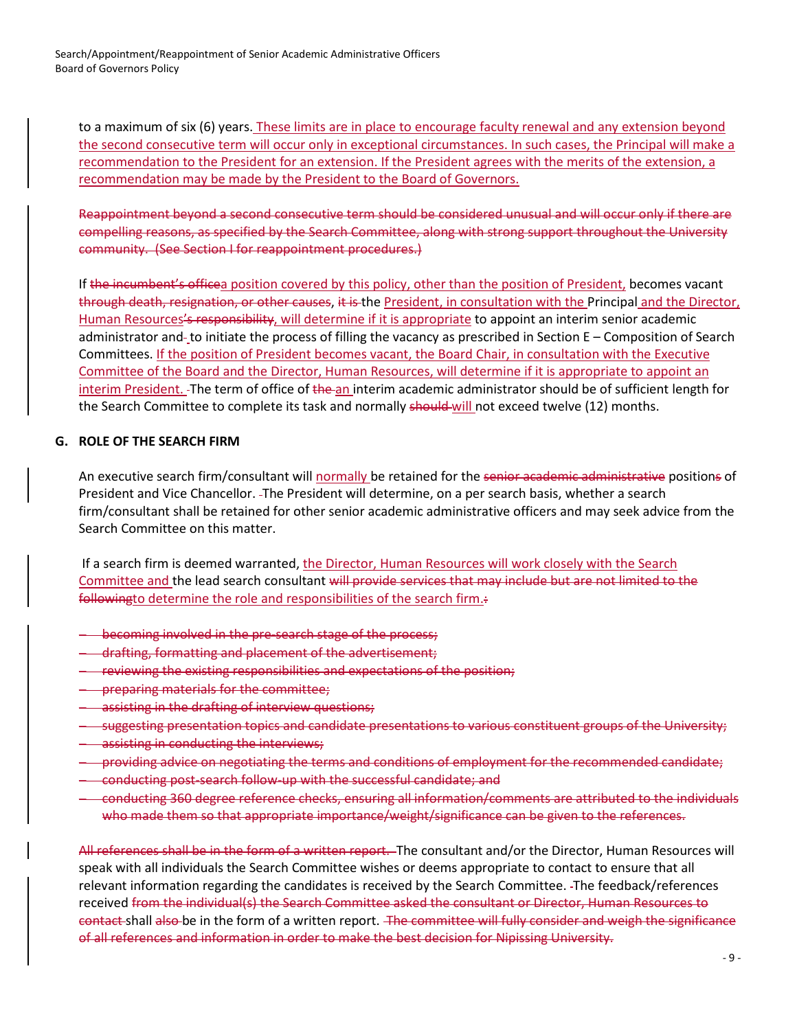Search/Appointment/Reappointment of Senior Academic Administrative Officers Board of Governors Policy

to a maximum of six (6) years. These limits are in place to encourage faculty renewal and any extension beyond the second consecutive term will occur only in exceptional circumstances. In such cases, the Principal will make a recommendation to the President for an extension. If the President agrees with the merits of the extension, a recommendation may be made by the President to the Board of Governors.

Reappointment beyond a second consecutive term should be considered unusual and will occur only if there are compelling reasons, as specified by the Search Committee, along with strong support throughout the University community. (See Section I for reappointment procedures.)

If the incumbent's officea position covered by this policy, other than the position of President, becomes vacant through death, resignation, or other causes, it is the President, in consultation with the Principal and the Director, Human Resources's responsibility, will determine if it is appropriate to appoint an interim senior academic administrator and-to initiate the process of filling the vacancy as prescribed in Section E – Composition of Search Committees. If the position of President becomes vacant, the Board Chair, in consultation with the Executive Committee of the Board and the Director, Human Resources, will determine if it is appropriate to appoint an interim President. The term of office of the an interim academic administrator should be of sufficient length for the Search Committee to complete its task and normally should will not exceed twelve (12) months.

#### **G. ROLE OF THE SEARCH FIRM**

An executive search firm/consultant will normally be retained for the senior academic administrative positions of President and Vice Chancellor. The President will determine, on a per search basis, whether a search firm/consultant shall be retained for other senior academic administrative officers and may seek advice from the Search Committee on this matter.

If a search firm is deemed warranted, the Director, Human Resources will work closely with the Search Committee and the lead search consultant will provide services that may include but are not limited to the followingto determine the role and responsibilities of the search firm.:

- − becoming involved in the pre-search stage of the process;
- − drafting, formatting and placement of the advertisement;
- − reviewing the existing responsibilities and expectations of the position;
- − preparing materials for the committee;
- − assisting in the drafting of interview questions;
- − suggesting presentation topics and candidate presentations to various constituent groups of the University;
- − assisting in conducting the interviews;
- − providing advice on negotiating the terms and conditions of employment for the recommended candidate;
- − conducting post-search follow-up with the successful candidate; and
- − conducting 360 degree reference checks, ensuring all information/comments are attributed to the individuals who made them so that appropriate importance/weight/significance can be given to the references.

All references shall be in the form of a written report. The consultant and/or the Director, Human Resources will speak with all individuals the Search Committee wishes or deems appropriate to contact to ensure that all relevant information regarding the candidates is received by the Search Committee. The feedback/references received from the individual(s) the Search Committee asked the consultant or Director, Human Resources to contact shall also be in the form of a written report. The committee will fully consider and weigh the significance of all references and information in order to make the best decision for Nipissing University.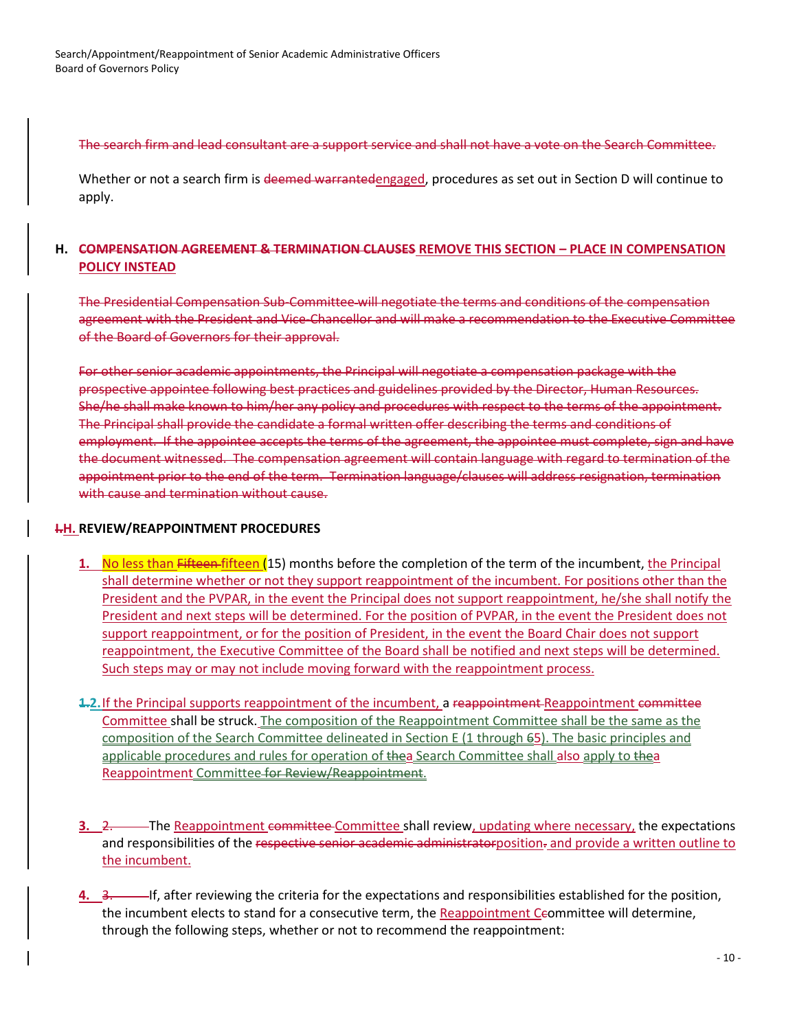The search firm and lead consultant are a support service and shall not have a vote on the Search Committee.

Whether or not a search firm is deemed warrantedengaged, procedures as set out in Section D will continue to apply.

## **H. COMPENSATION AGREEMENT & TERMINATION CLAUSES REMOVE THIS SECTION – PLACE IN COMPENSATION POLICY INSTEAD**

The Presidential Compensation Sub-Committee will negotiate the terms and conditions of the compensation agreement with the President and Vice-Chancellor and will make a recommendation to the Executive Committee of the Board of Governors for their approval.

For other senior academic appointments, the Principal will negotiate a compensation package with the prospective appointee following best practices and guidelines provided by the Director, Human Resources. She/he shall make known to him/her any policy and procedures with respect to the terms of the appointment. The Principal shall provide the candidate a formal written offer describing the terms and conditions of employment. If the appointee accepts the terms of the agreement, the appointee must complete, sign and have the document witnessed. The compensation agreement will contain language with regard to termination of the appointment prior to the end of the term. Termination language/clauses will address resignation, termination with cause and termination without cause.

## **I.H. REVIEW/REAPPOINTMENT PROCEDURES**

- **1.** No less than Fifteen fifteen (15) months before the completion of the term of the incumbent, the Principal shall determine whether or not they support reappointment of the incumbent. For positions other than the President and the PVPAR, in the event the Principal does not support reappointment, he/she shall notify the President and next steps will be determined. For the position of PVPAR, in the event the President does not support reappointment, or for the position of President, in the event the Board Chair does not support reappointment, the Executive Committee of the Board shall be notified and next steps will be determined. Such steps may or may not include moving forward with the reappointment process.
- **1.2.**If the Principal supports reappointment of the incumbent, a reappointment Reappointment committee Committee shall be struck. The composition of the Reappointment Committee shall be the same as the composition of the Search Committee delineated in Section E (1 through 65). The basic principles and applicable procedures and rules for operation of thea Search Committee shall also apply to thea Reappointment Committee for Review/Reappointment.
- **3.** 2. The Reappointment committee Committee shall review, updating where necessary, the expectations and responsibilities of the respective senior academic administratorposition. and provide a written outline to the incumbent.
- **4.** 3. If, after reviewing the criteria for the expectations and responsibilities established for the position, the incumbent elects to stand for a consecutive term, the Reappointment Ceommittee will determine, through the following steps, whether or not to recommend the reappointment: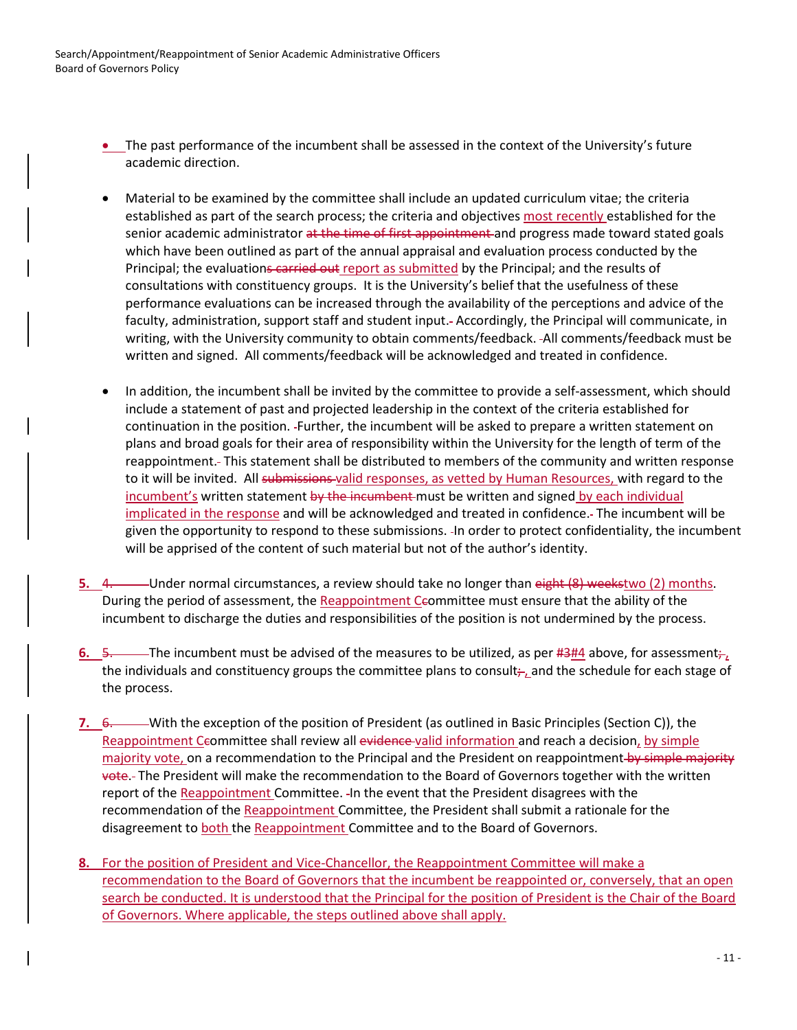- The past performance of the incumbent shall be assessed in the context of the University's future academic direction.
- Material to be examined by the committee shall include an updated curriculum vitae; the criteria established as part of the search process; the criteria and objectives most recently established for the senior academic administrator at the time of first appointment and progress made toward stated goals which have been outlined as part of the annual appraisal and evaluation process conducted by the Principal; the evaluations carried out report as submitted by the Principal; and the results of consultations with constituency groups. It is the University's belief that the usefulness of these performance evaluations can be increased through the availability of the perceptions and advice of the faculty, administration, support staff and student input. Accordingly, the Principal will communicate, in writing, with the University community to obtain comments/feedback. All comments/feedback must be written and signed. All comments/feedback will be acknowledged and treated in confidence.
- In addition, the incumbent shall be invited by the committee to provide a self-assessment, which should include a statement of past and projected leadership in the context of the criteria established for continuation in the position. Further, the incumbent will be asked to prepare a written statement on plans and broad goals for their area of responsibility within the University for the length of term of the reappointment. This statement shall be distributed to members of the community and written response to it will be invited. All submissions valid responses, as vetted by Human Resources, with regard to the incumbent's written statement by the incumbent must be written and signed by each individual implicated in the response and will be acknowledged and treated in confidence. The incumbent will be given the opportunity to respond to these submissions. In order to protect confidentiality, the incumbent will be apprised of the content of such material but not of the author's identity.
- **5.** 4. Under normal circumstances, a review should take no longer than eight (8) weekstwo (2) months. During the period of assessment, the Reappointment Ceommittee must ensure that the ability of the incumbent to discharge the duties and responsibilities of the position is not undermined by the process.
- **6.** 5. The incumbent must be advised of the measures to be utilized, as per #3#4 above, for assessment; the individuals and constituency groups the committee plans to consult; and the schedule for each stage of the process.
- **7.** 6. With the exception of the position of President (as outlined in Basic Principles (Section C)), the Reappointment Ceommittee shall review all evidence valid information and reach a decision, by simple majority vote, on a recommendation to the Principal and the President on reappointment by simple majority vote. The President will make the recommendation to the Board of Governors together with the written report of the Reappointment Committee. In the event that the President disagrees with the recommendation of the Reappointment Committee, the President shall submit a rationale for the disagreement to both the Reappointment Committee and to the Board of Governors.
- **8.** For the position of President and Vice-Chancellor, the Reappointment Committee will make a recommendation to the Board of Governors that the incumbent be reappointed or, conversely, that an open search be conducted. It is understood that the Principal for the position of President is the Chair of the Board of Governors. Where applicable, the steps outlined above shall apply.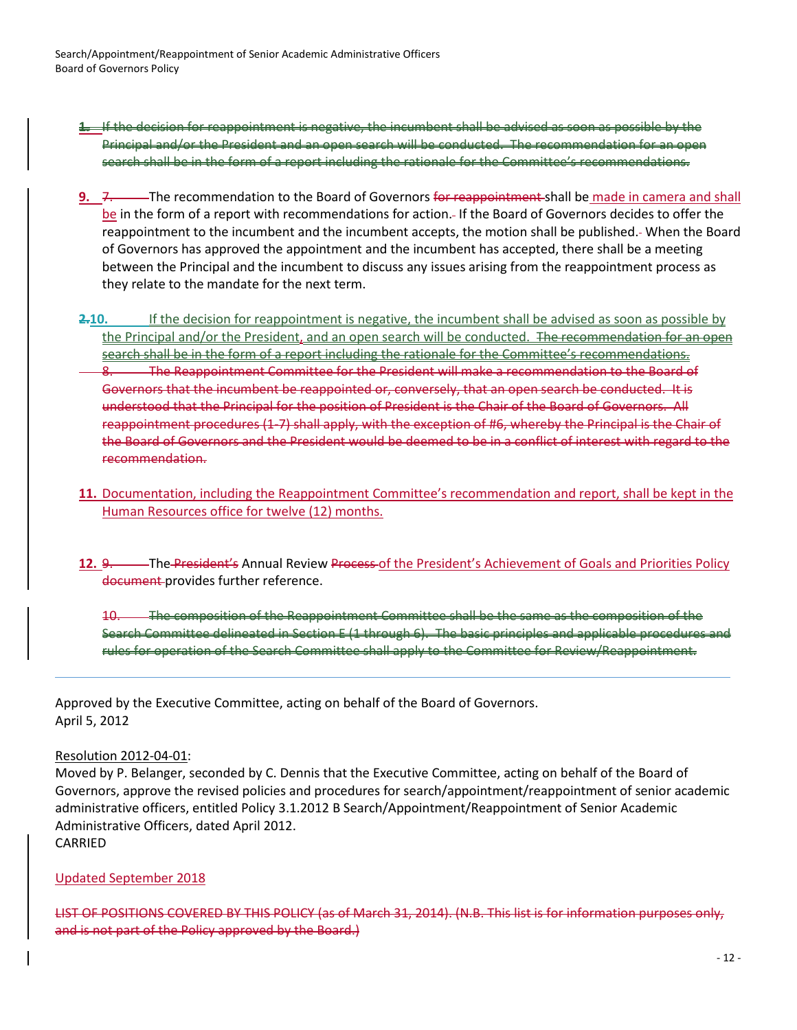Search/Appointment/Reappointment of Senior Academic Administrative Officers Board of Governors Policy

- **1.** If the decision for reappointment is negative, the incumbent shall be advised as soon as possible by the Principal and/or the President and an open search will be conducted. The recommendation for an open search shall be in the form of a report including the rationale for the Committee's recommendations.
- **9.** 7. The recommendation to the Board of Governors for reappointment shall be made in camera and shall be in the form of a report with recommendations for action. If the Board of Governors decides to offer the reappointment to the incumbent and the incumbent accepts, the motion shall be published. When the Board of Governors has approved the appointment and the incumbent has accepted, there shall be a meeting between the Principal and the incumbent to discuss any issues arising from the reappointment process as they relate to the mandate for the next term.
- **2.10.** If the decision for reappointment is negative, the incumbent shall be advised as soon as possible by the Principal and/or the President, and an open search will be conducted. The recommendation for an open search shall be in the form of a report including the rationale for the Committee's recommendations. The Reappointment Committee for the President will make a recommendation to the Board of Governors that the incumbent be reappointed or, conversely, that an open search be conducted. It is understood that the Principal for the position of President is the Chair of the Board of Governors. All reappointment procedures (1-7) shall apply, with the exception of #6, whereby the Principal is the Chair of the Board of Governors and the President would be deemed to be in a conflict of interest with regard to the recommendation.
- **11.** Documentation, including the Reappointment Committee's recommendation and report, shall be kept in the Human Resources office for twelve (12) months.
- 12. 9. The President's Annual Review Process of the President's Achievement of Goals and Priorities Policy document provides further reference.
	- 10. The composition of the Reappointment Committee shall be the same as the composition of the Search Committee delineated in Section E (1 through 6). The basic principles and applicable procedures and rules for operation of the Search Committee shall apply to the Committee for Review/Reappointment.

Approved by the Executive Committee, acting on behalf of the Board of Governors. April 5, 2012

## Resolution 2012-04-01:

Moved by P. Belanger, seconded by C. Dennis that the Executive Committee, acting on behalf of the Board of Governors, approve the revised policies and procedures for search/appointment/reappointment of senior academic administrative officers, entitled Policy 3.1.2012 B Search/Appointment/Reappointment of Senior Academic Administrative Officers, dated April 2012. CARRIED

## Updated September 2018

LIST OF POSITIONS COVERED BY THIS POLICY (as of March 31, 2014). (N.B. This list is for information purposes only, and is not part of the Policy approved by the Board.)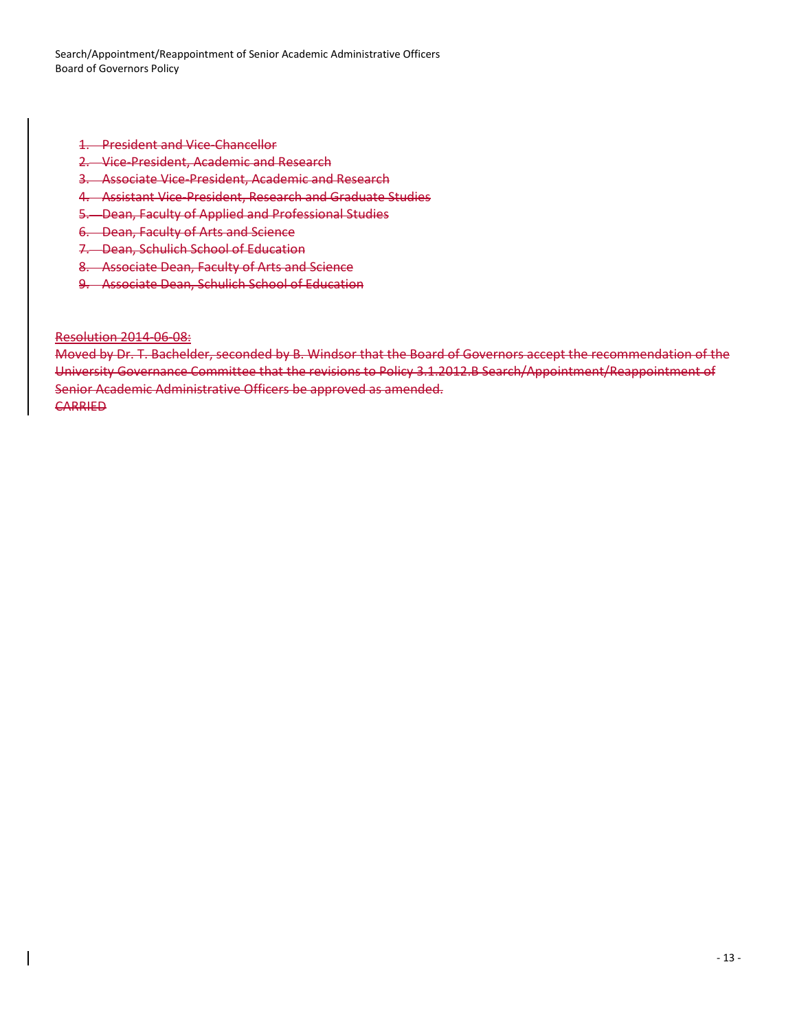Search/Appointment/Reappointment of Senior Academic Administrative Officers Board of Governors Policy

- 1. President and Vice-Chancellor
- 2. Vice-President, Academic and Research
- 3. Associate Vice-President, Academic and Research
- 4. Assistant Vice-President, Research and Graduate Studies
- 5. Dean, Faculty of Applied and Professional Studies
- 6. Dean, Faculty of Arts and Science
- 7. Dean, Schulich School of Education
- 8. Associate Dean, Faculty of Arts and Science
- 9. Associate Dean, Schulich School of Education

Resolution 2014-06-08:

Moved by Dr. T. Bachelder, seconded by B. Windsor that the Board of Governors accept the recommendation of the University Governance Committee that the revisions to Policy 3.1.2012.B Search/Appointment/Reappointment of Senior Academic Administrative Officers be approved as amended. **CARRIED**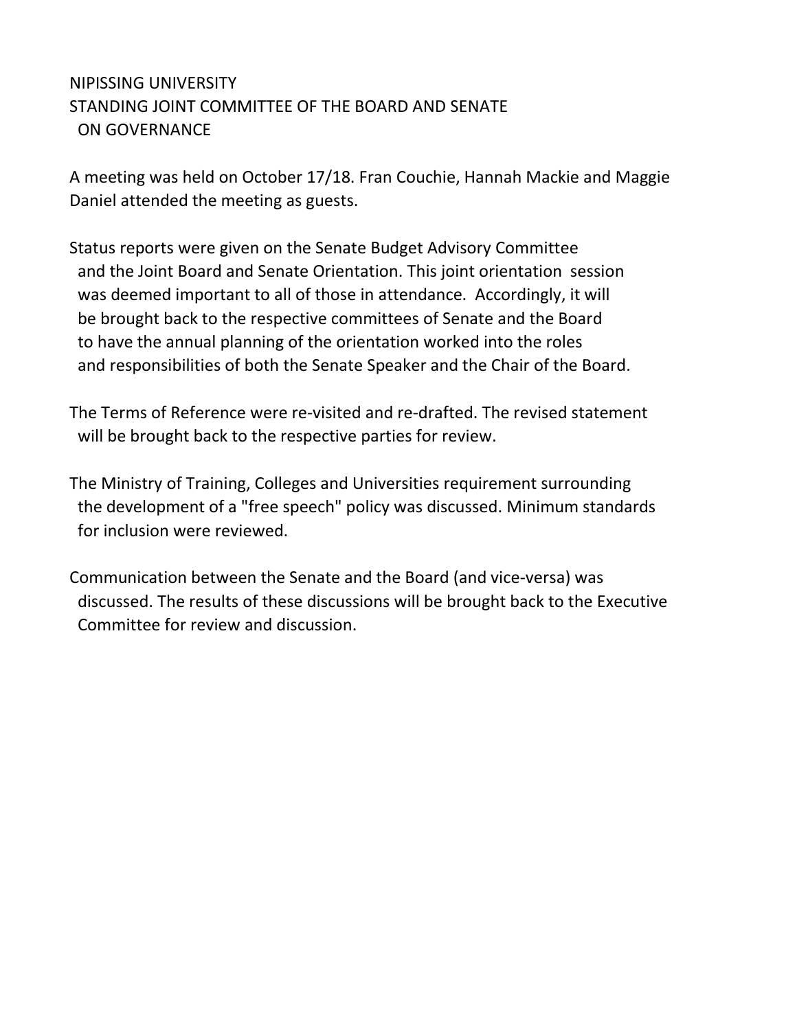# NIPISSING UNIVERSITY STANDING JOINT COMMITTEE OF THE BOARD AND SENATE ON GOVERNANCE

A meeting was held on October 17/18. Fran Couchie, Hannah Mackie and Maggie Daniel attended the meeting as guests.

Status reports were given on the Senate Budget Advisory Committee and the Joint Board and Senate Orientation. This joint orientation session was deemed important to all of those in attendance. Accordingly, it will be brought back to the respective committees of Senate and the Board to have the annual planning of the orientation worked into the roles and responsibilities of both the Senate Speaker and the Chair of the Board.

The Terms of Reference were re-visited and re-drafted. The revised statement will be brought back to the respective parties for review.

The Ministry of Training, Colleges and Universities requirement surrounding the development of a "free speech" policy was discussed. Minimum standards for inclusion were reviewed.

Communication between the Senate and the Board (and vice-versa) was discussed. The results of these discussions will be brought back to the Executive Committee for review and discussion.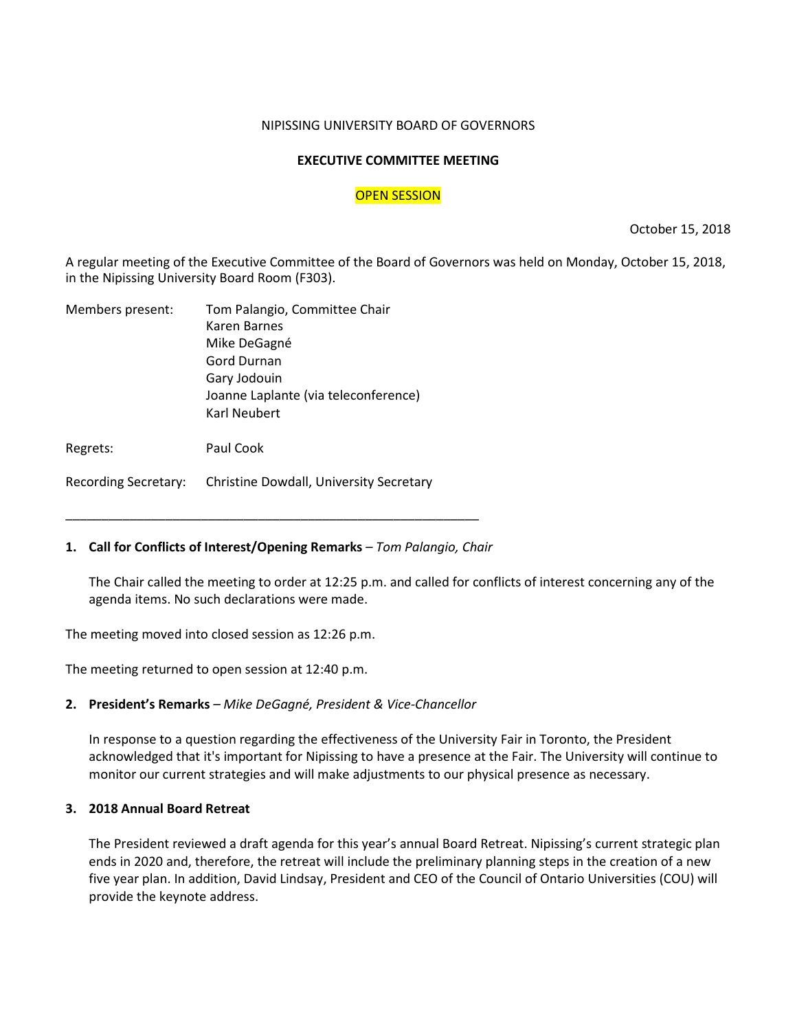#### NIPISSING UNIVERSITY BOARD OF GOVERNORS

### **EXECUTIVE COMMITTEE MEETING**

### OPEN SESSION

October 15, 2018

A regular meeting of the Executive Committee of the Board of Governors was held on Monday, October 15, 2018, in the Nipissing University Board Room (F303).

| Members present: | Tom Palangio, Committee Chair        |
|------------------|--------------------------------------|
|                  | Karen Barnes                         |
|                  | Mike DeGagné                         |
|                  | Gord Durnan                          |
|                  | Gary Jodouin                         |
|                  | Joanne Laplante (via teleconference) |
|                  | Karl Neubert                         |
|                  |                                      |

Regrets: Paul Cook

Recording Secretary: Christine Dowdall, University Secretary

## **1. Call for Conflicts of Interest/Opening Remarks** *– Tom Palangio, Chair*

\_\_\_\_\_\_\_\_\_\_\_\_\_\_\_\_\_\_\_\_\_\_\_\_\_\_\_\_\_\_\_\_\_\_\_\_\_\_\_\_\_\_\_\_\_\_\_\_\_\_\_\_\_\_\_\_\_\_

The Chair called the meeting to order at 12:25 p.m. and called for conflicts of interest concerning any of the agenda items. No such declarations were made.

The meeting moved into closed session as 12:26 p.m.

The meeting returned to open session at 12:40 p.m.

## **2. President's Remarks** *– Mike DeGagné, President & Vice-Chancellor*

In response to a question regarding the effectiveness of the University Fair in Toronto, the President acknowledged that it's important for Nipissing to have a presence at the Fair. The University will continue to monitor our current strategies and will make adjustments to our physical presence as necessary.

## **3. 2018 Annual Board Retreat**

The President reviewed a draft agenda for this year's annual Board Retreat. Nipissing's current strategic plan ends in 2020 and, therefore, the retreat will include the preliminary planning steps in the creation of a new five year plan. In addition, David Lindsay, President and CEO of the Council of Ontario Universities (COU) will provide the keynote address.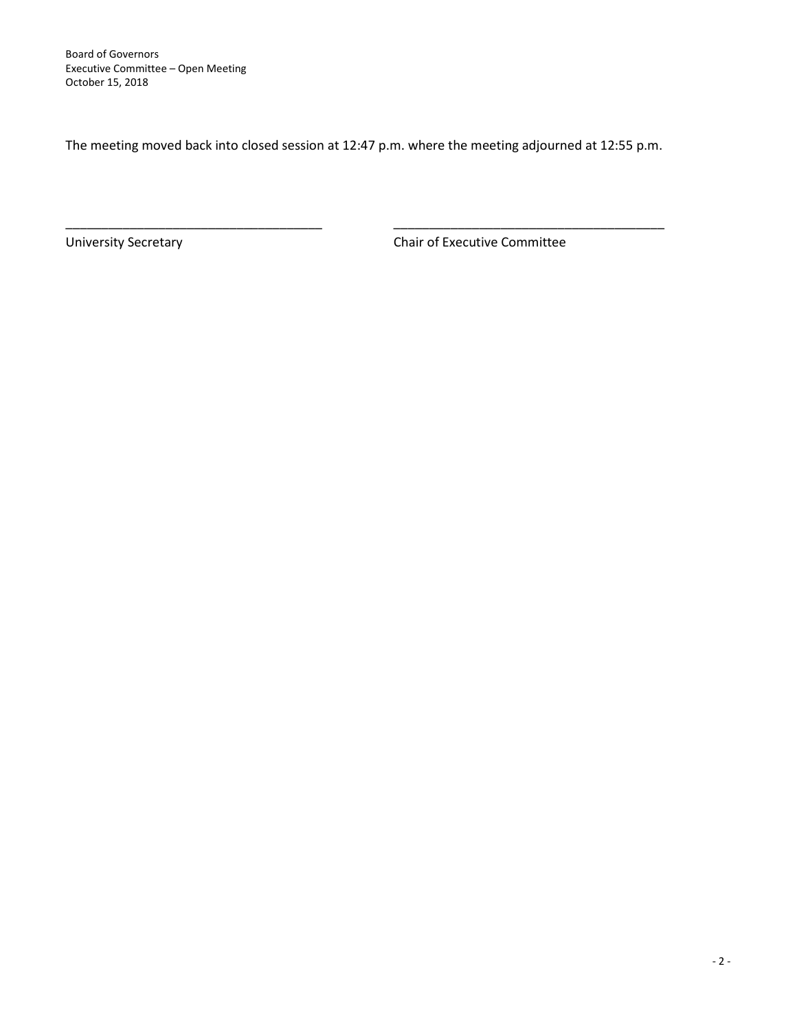The meeting moved back into closed session at 12:47 p.m. where the meeting adjourned at 12:55 p.m.

\_\_\_\_\_\_\_\_\_\_\_\_\_\_\_\_\_\_\_\_\_\_\_\_\_\_\_\_\_\_\_\_\_\_\_\_ \_\_\_\_\_\_\_\_\_\_\_\_\_\_\_\_\_\_\_\_\_\_\_\_\_\_\_\_\_\_\_\_\_\_\_\_\_\_

University Secretary **Chair of Executive Committee**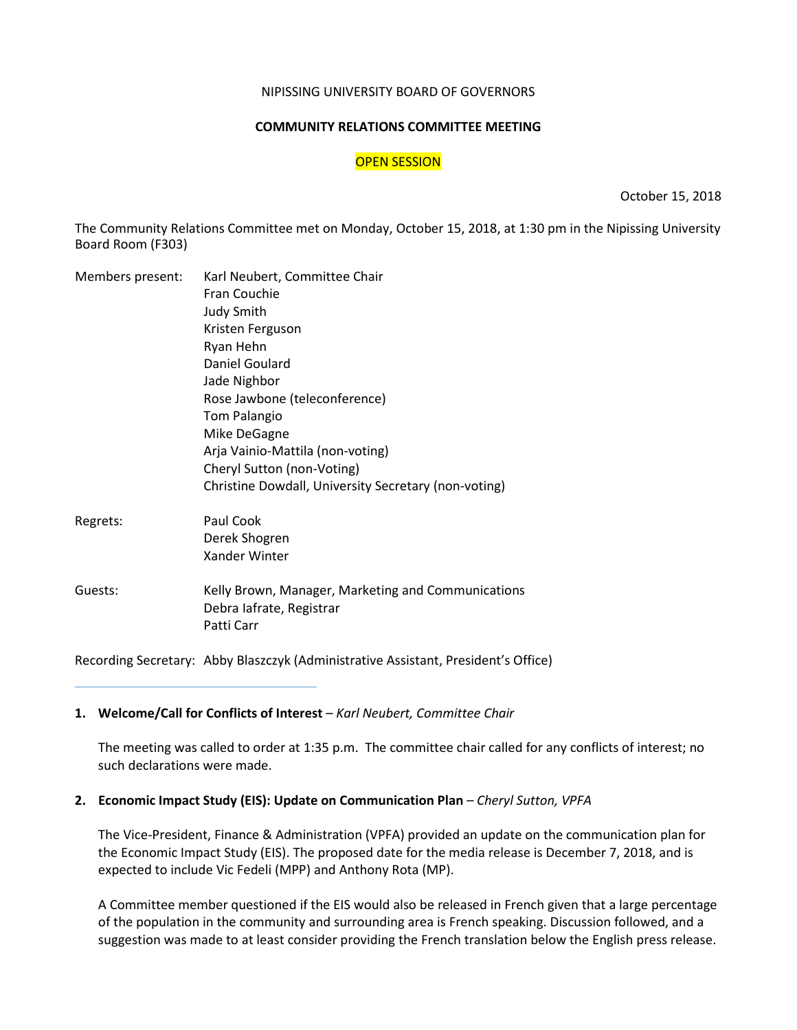#### NIPISSING UNIVERSITY BOARD OF GOVERNORS

#### **COMMUNITY RELATIONS COMMITTEE MEETING**

#### OPEN SESSION

October 15, 2018

The Community Relations Committee met on Monday, October 15, 2018, at 1:30 pm in the Nipissing University Board Room (F303)

| Members present: | Karl Neubert, Committee Chair                                                                |
|------------------|----------------------------------------------------------------------------------------------|
|                  | Fran Couchie                                                                                 |
|                  | <b>Judy Smith</b>                                                                            |
|                  | Kristen Ferguson                                                                             |
|                  | Ryan Hehn                                                                                    |
|                  | Daniel Goulard                                                                               |
|                  | Jade Nighbor                                                                                 |
|                  | Rose Jawbone (teleconference)                                                                |
|                  | <b>Tom Palangio</b>                                                                          |
|                  | Mike DeGagne                                                                                 |
|                  | Arja Vainio-Mattila (non-voting)                                                             |
|                  | Cheryl Sutton (non-Voting)                                                                   |
|                  | Christine Dowdall, University Secretary (non-voting)                                         |
| Regrets:         | Paul Cook                                                                                    |
|                  | Derek Shogren                                                                                |
|                  | Xander Winter                                                                                |
| Guests:          | Kelly Brown, Manager, Marketing and Communications<br>Debra lafrate, Registrar<br>Patti Carr |
|                  |                                                                                              |

Recording Secretary: Abby Blaszczyk (Administrative Assistant, President's Office)

#### 1. Welcome/Call for Conflicts of Interest – Karl Neubert, Committee Chair

The meeting was called to order at 1:35 p.m. The committee chair called for any conflicts of interest; no such declarations were made.

## **2. Economic Impact Study (EIS): Update on Communication Plan** *– Cheryl Sutton, VPFA*

The Vice-President, Finance & Administration (VPFA) provided an update on the communication plan for the Economic Impact Study (EIS). The proposed date for the media release is December 7, 2018, and is expected to include Vic Fedeli (MPP) and Anthony Rota (MP).

A Committee member questioned if the EIS would also be released in French given that a large percentage of the population in the community and surrounding area is French speaking. Discussion followed, and a suggestion was made to at least consider providing the French translation below the English press release.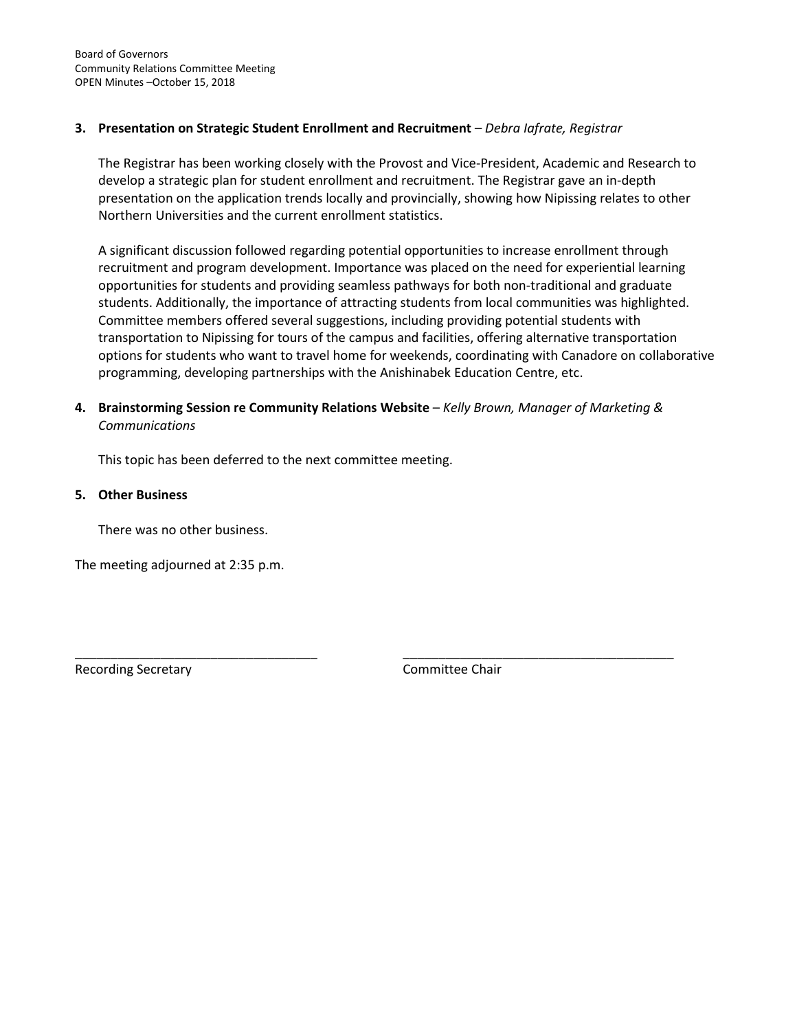## **3. Presentation on Strategic Student Enrollment and Recruitment** *– Debra Iafrate, Registrar*

The Registrar has been working closely with the Provost and Vice-President, Academic and Research to develop a strategic plan for student enrollment and recruitment. The Registrar gave an in-depth presentation on the application trends locally and provincially, showing how Nipissing relates to other Northern Universities and the current enrollment statistics.

A significant discussion followed regarding potential opportunities to increase enrollment through recruitment and program development. Importance was placed on the need for experiential learning opportunities for students and providing seamless pathways for both non-traditional and graduate students. Additionally, the importance of attracting students from local communities was highlighted. Committee members offered several suggestions, including providing potential students with transportation to Nipissing for tours of the campus and facilities, offering alternative transportation options for students who want to travel home for weekends, coordinating with Canadore on collaborative programming, developing partnerships with the Anishinabek Education Centre, etc.

## **4. Brainstorming Session re Community Relations Website** – *Kelly Brown, Manager of Marketing & Communications*

\_\_\_\_\_\_\_\_\_\_\_\_\_\_\_\_\_\_\_\_\_\_\_\_\_\_\_\_\_\_\_\_\_\_ \_\_\_\_\_\_\_\_\_\_\_\_\_\_\_\_\_\_\_\_\_\_\_\_\_\_\_\_\_\_\_\_\_\_\_\_\_\_

This topic has been deferred to the next committee meeting.

#### **5. Other Business**

There was no other business.

The meeting adjourned at 2:35 p.m.

Recording Secretary **Committee Chair**